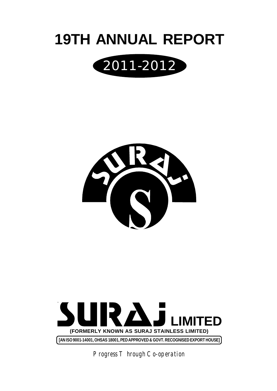







*Progress Through Co-operation*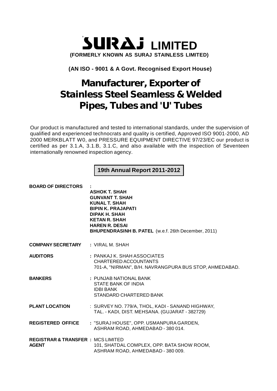

# **(AN ISO - 9001 & A Govt. Recognised Export House)**

# **Manufacturer, Exporter of Stainless Steel Seamless & Welded Pipes, Tubes and 'U' Tubes**

Our product is manufactured and tested to international standards, under the supervision of qualified and experienced technocrats and quality is certified, Approved ISO 9001-2000, AD 2000 MERKBLATT W0, and PRESSURE EQUIPMENT DIRECTIVE 97/23/EC our product is certified as per 3.1.A, 3.1.B, 3.1.C, and also available with the inspection of Seventeen internationally renowned inspection agency.

**19th Annual Report 2011-2012**

| <b>BOARD OF DIRECTORS</b>                                     | <b>ASHOK T. SHAH</b><br><b>GUNVANT T. SHAH</b><br><b>KUNAL T. SHAH</b><br><b>BIPIN K. PRAJAPATI</b><br>DIPAK H. SHAH<br><b>KETAN R. SHAH</b><br><b>HAREN R. DESAI</b><br>BHUPENDRASINH B. PATEL (w.e.f. 26th December, 2011) |
|---------------------------------------------------------------|------------------------------------------------------------------------------------------------------------------------------------------------------------------------------------------------------------------------------|
| <b>COMPANY SECRETARY : VIRAL M. SHAH</b>                      |                                                                                                                                                                                                                              |
| <b>AUDITORS</b>                                               | : PANKAJ K. SHAH ASSOCIATES<br>CHARTERED ACCOUNTANTS<br>701-A, "NIRMAN", B/H. NAVRANGPURA BUS STOP, AHMEDABAD.                                                                                                               |
| <b>BANKERS</b>                                                | : PUNJAB NATIONAL BANK<br>STATE BANK OF INDIA<br><b>IDBI BANK</b><br>STANDARD CHARTERED BANK                                                                                                                                 |
| <b>PLANT LOCATION</b>                                         | : SURVEY NO. 779/A, THOL, KADI - SANAND HIGHWAY,<br>TAL. - KADI, DIST. MEHSANA. (GUJARAT - 382729)                                                                                                                           |
| <b>REGISTERED OFFICE</b>                                      | : "SURAJ HOUSE", OPP. USMANPURA GARDEN,<br>ASHRAM ROAD, AHMEDABAD - 380 014.                                                                                                                                                 |
| <b>REGISTRAR &amp; TRANSFER : MCS LIMITED</b><br><b>AGENT</b> | 101, SHATDAL COMPLEX, OPP. BATA SHOW ROOM,<br>ASHRAM ROAD, AHMEDABAD - 380 009.                                                                                                                                              |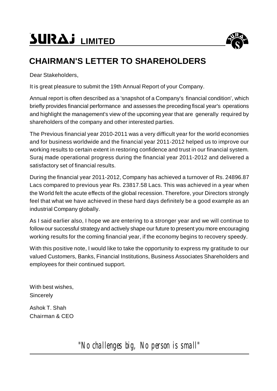# **SURAJ LIMITED**



# **CHAIRMAN'S LETTER TO SHAREHOLDERS**

Dear Stakeholders,

It is great pleasure to submit the 19th Annual Report of your Company.

Annual report is often described as a 'snapshot of a Company's financial condition', which briefly provides financial performance and assesses the preceding fiscal year's operations and highlight the management's view of the upcoming year that are generally required by shareholders of the company and other interested parties.

The Previous financial year 2010-2011 was a very difficult year for the world economies and for business worldwide and the financial year 2011-2012 helped us to improve our working results to certain extent in restoring confidence and trust in our financial system. Suraj made operational progress during the financial year 2011-2012 and delivered a satisfactory set of financial results.

During the financial year 2011-2012, Company has achieved a turnover of Rs. 24896.87 Lacs compared to previous year Rs. 23817.58 Lacs. This was achieved in a year when the World felt the acute effects of the global recession. Therefore, your Directors strongly feel that what we have achieved in these hard days definitely be a good example as an industrial Company globally.

As I said earlier also, I hope we are entering to a stronger year and we will continue to follow our successful strategy and actively shape our future to present you more encouraging working results for the coming financial year, if the economy begins to recovery speedy.

With this positive note, I would like to take the opportunity to express my gratitude to our valued Customers, Banks, Financial Institutions, Business Associates Shareholders and employees for their continued support.

With best wishes, **Sincerely** 

Ashok T. Shah Chairman & CEO

*"No challenges big, No person is small"*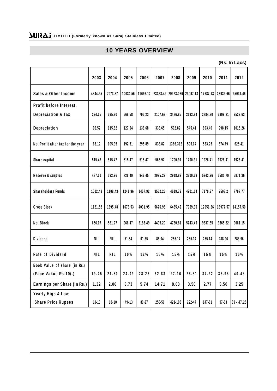# **10 YEARS OVERVIEW**

**(Rs. In Lacs)**

|                                                | 2003       | 2004       | 2005     | 2006      | 2007     | 2008               | 2009    | 2010     | 2011      | 2012         |
|------------------------------------------------|------------|------------|----------|-----------|----------|--------------------|---------|----------|-----------|--------------|
| <b>Sales &amp; Other Income</b>                | 4844.95    | 7073.87    | 10034.56 | 11693.12  | 23328.49 | 29223.086 23097.13 |         | 17687.13 | 23932.66  | 25031.46     |
| Profit before Interest,                        |            |            |          |           |          |                    |         |          |           |              |
| <b>Depreciation &amp; Tax</b>                  | 224.05     | 395.80     | 568.58   | 795.23    | 2107.68  | 3476.85            | 2193.84 | 2784.80  | 3399.21   | 3527.63      |
| Depreciation                                   | 96.52      | 115.82     | 127.64   | 138.68    | 338.65   | 502.82             | 545.41  | 893.40   | 998.15    | 1015.26      |
| Net Profit after tax for the year              | 68.12      | 105.95     | 192.31   | 295.89    | 833.82   | 1366.312           | 595.04  | 533.25   | 674.79    | 625.41       |
| Share capital                                  | 515.47     | 515.47     | 515.47   | 515.47    | 566.97   | 1700.91            | 1700.91 | 1926.41  | 1926.41   | 1926.41      |
| Reserve & surplus                              | 487.01     | 592.96     | 726.49   | 942.45    | 2995.29  | 2918.82            | 3200.23 | 5243.96  | 5581.79   | 5871.36      |
| <b>Shareholders Funds</b>                      | 1002.48    | 1108.43    | 1241.96  | 1457.92   | 3562.26  | 4619.73            | 4901.14 | 7170.37  | 7508.2    | 7797.77      |
| Gross Block                                    | 1121.52    | 1395.48    | 1673.53  | 4031.95   | 5676.98  | 6465.42            | 7969.30 | 12951.26 | 13977.57  | 14157.50     |
| Net Block                                      | 656.07     | 581.27     | 966.47   | 3186.49   | 4495.20  | 4780.81            | 5743.49 | 9837.65  | 9865.82   | 9061.15      |
| Dividend                                       | <b>NIL</b> | <b>NIL</b> | 51.54    | 61.85     | 85.04    | 255.14             | 255.14  | 255.14   | 288.96    | 288.96       |
| Rate of Dividend                               | <b>NIL</b> | <b>NIL</b> | 10%      | 12%       | 15%      | 15%                | 15%     | 15%      | 15%       | 15%          |
| Book Value of share (in Rs.)                   |            |            |          |           |          |                    |         |          |           |              |
| (Face Vakue Rs. 10/-)                          | 19.45      | 21.50      | 24.09    | 28.28     | 62.83    | 27.16              | 28.81   | 37.22    | 38.98     | 40.48        |
| Earnings per Share (in Rs.)                    | 1.32       | 2.06       | 3.73     | 5.74      | 14.71    | 8.03               | 3.50    | 2.77     | 3.50      | 3.25         |
| Yearly High & Low<br><b>Share Price Rupees</b> | $10 - 10$  | $18 - 10$  | 49-13    | $80 - 27$ | 250-56   | 421-108            | 222-47  | 147-61   | $97 - 53$ | $69 - 47.25$ |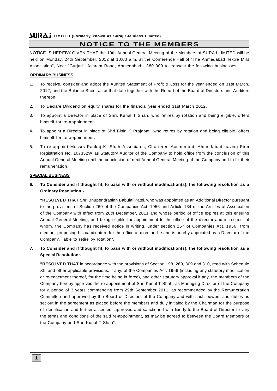# **NOTICE TO THE MEMBERS**

NOTICE IS HEREBY GIVEN THAT the 19th Annual General Meeting of the Members of SURAJ LIMITED will be held on Monday, 24th September, 2012 at 10:00 a.m. at the Conference Hall of "The Ahmedabad Textile Mills Association", Near "Gurjari", Ashram Road, Ahmedabad - 380 009 to transact the following businesses:

### **ORDINARY BUSINESS**

- 1. To receive, consider and adopt the Audited Statement of Profit & Loss for the year ended on 31st March, 2012, and the Balance Sheet as at that date together with the Report of the Board of Directors and Auditors thereon.
- 2. To Declare Dividend on equity shares for the financial year ended 31st March 2012.
- 3. To appoint a Director in place of Shri. Kunal T Shah, who retires by rotation and being eligible, offers himself for re-appointment.
- 4. To appoint a Director in place of Shri Bipin K Prajapati, who retires by rotation and being eligible, offers himself for re-appointment.
- 5. To re-appoint Messrs Pankaj K. Shah Associates, Chartered Accountant, Ahmedabad having Firm Registration No. 107352W as Statutory Auditor of the Company to hold office from the conclusion of this Annual General Meeting until the conclusion of next Annual General Meeting of the Company and to fix their remuneration.

### **SPECIAL BUSINESS**

**6. To Consider and if thought fit, to pass with or without modification(s), the following resolution as a Ordinary Resolution:-**

**"RESOLVED THAT** Shri Bhupendrasinh Babulal Patel, who was appointed as an Additional Director pursuant to the provisions of Section 260 of the Companies Act, 1956 and Article 134 of the Articles of Association of the Company with effect from 26th December, 2011 and whose period of office expires at this ensuing Annual General Meeting, and being eligible for appointment to the office of the director and in respect of whom, the Company has received notice in writing, under section 257 of Companies Act, 1956 from member proposing his candidature for the office of director, be and is hereby appointed as a Director of the Company, liable to retire by rotation".

### **7. To Consider and if thought fit, to pass with or without modification(s), the following resolution as a Special Resolution:-**

**"RESOLVED THAT** in accordance with the provisions of Section 198, 269, 309 and 310, read with Schedule XIII and other applicable provisions, if any, of the Companies Act, 1956 (including any statutory modification or re-enactment thereof, for the time being in force), and other statutory approval if any, the members of the Company hereby approves the re-appointment of Shri Kunal T Shah, as Managing Director of the Company for a period of 3 years commencing from 29th September 2011, as recommended by the Remuneration Committee and approved by the Board of Directors of the Company and with such powers and duties as set out in the agreement as placed before the members and duly initialed by the Chairman for the purpose of identification and further assented, approved and sanctioned with liberty to the Board of Director to vary the terms and conditions of the said re-appointment, as may be agreed to between the Board Members of the Company and Shri Kunal T Shah".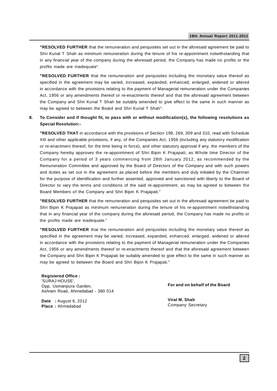**"RESOLVED FURTHER** that the remuneration and perquisites set out in the aforesaid agreement be paid to Shri Kunal T Shah as minimum remuneration during the tenure of his re-appointment notwithstanding that in any financial year of the company during the aforesaid period, the Company has made no profits or the profits made are inadequate".

**"RESOLVED FURTHER** that the remuneration and perquisites including the monetary value thereof as specified in the agreement may be varied, increased, expanded, enhanced, enlarged, widened or altered in accordance with the provisions relating to the payment of Managerial remuneration under the Companies Act, 1956 or any amendments thereof or re-enactments thereof and that the aforesaid agreement between the Company and Shri Kunal T Shah be suitably amended to give effect to the same in such manner as may be agreed to between the Board and Shri Kunal T Shah".

### **8. To Consider and if thought fit, to pass with or without modification(s), the following resolutions as Special Resolution:-**

**"RESOLVED THAT** in accordance with the provisions of Section 198, 269, 309 and 310, read with Schedule XIII and other applicable provisions, if any, of the Companies Act, 1956 (including any statutory modification or re-enactment thereof, for the time being in force), and other statutory approval if any, the members of the Company hereby approves the re-appointment of Shri Bipin K Prajapati, as Whole time Director of the Company for a period of 3 years commencing from 28th January 2012, as recommended by the Remuneration Committee and approved by the Board of Directors of the Company and with such powers and duties as set out in the agreement as placed before the members and duly initialed by the Chairman for the purpose of identification and further assented, approved and sanctioned with liberty to the Board of Director to vary the terms and conditions of the said re-appointment, as may be agreed to between the Board Members of the Company and Shri Bipin K Prajapati."

**"RESOLVED FURTHER** that the remuneration and perquisites set out in the aforesaid agreement be paid to Shri Bipin K Prajapati as minimum remuneration during the tenure of his re-appointment notwithstanding that in any financial year of the company during the aforesaid period, the Company has made no profits or the profits made are inadequate."

**"RESOLVED FURTHER** that the remuneration and perquisites including the monetary value thereof as specified in the agreement may be varied, increased, expanded, enhanced, enlarged, widened or altered in accordance with the provisions relating to the payment of Managerial remuneration under the Companies Act, 1956 or any amendments thereof or re-enactments thereof and that the aforesaid agreement between the Company and Shri Bipin K Prajapati be suitably amended to give effect to the same in such manner as may be agreed to between the Board and Shri Bipin K Prajapati."

**Registered Office :** 'SURAJ HOUSE', Opp. Usmanpura Garden, Ashram Road, Ahmedabad - 380 014

**Date :** August 6, 2012 **Place :** Ahmedabad

**For and on behalf of the Board**

**Viral M. Shah** Company Secretary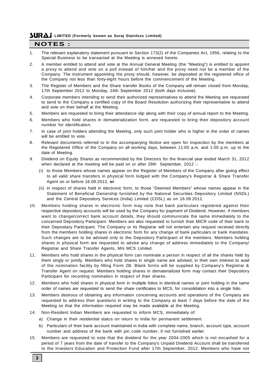# **NOTES :**

- 1. The relevant explanatory statement pursuant to Section 173(2) of the Companies Act, 1956, relating to the Special Business to be transacted at the Meeting is annexed hereto.
- 2. A member entitled to attend and vote at the Annual General Meeting (the "Meeting") is entitled to appoint a proxy to attend and vote on a poll instead of him/her and the proxy need not be a member of the Company. The instrument appointing the proxy should, however, be deposited at the registered office of the Company not less than forty-eight hours before the commencement of the Meeting.
- 3. The Register of Members and the Share transfer Books of the Company will remain closed from Monday, 17th September 2012 to Monday, 24th September 2012 (both days inclusive).
- 4. Corporate members intending to send their authorized representatives to attend the Meeting are requested to send to the Company a certified copy of the Board Resolution authorizing their representative to attend and vote on their behalf at the Meeting.
- 5. Members are requested to bring their attendance slip along with their copy of annual report to the Meeting.
- 6. Members who hold shares in dematerialization form, are requested to bring their depository account number for identification.
- 7. In case of joint holders attending the Meeting, only such joint holder who is higher in the order of names will be entitled to vote.
- 8. Relevant documents referred to in the accompanying Notice are open for inspection by the members at the Registered Office of the Company on all working days, between 11:00 a.m. and 1:00 p.m. up to the date of Meeting.
- 9. Dividend on Equity Shares as recommended by the Directors for the financial year ended March 31, 2012 when declared at the meeting will be paid on or after 29th September, 2012 :-
	- (i) to those Members whose names appear on the Register of Members of the Company after giving effect to all valid share transfers in physical form lodged with the Company's Registrar & Share Transfer Agent on or before 16.09.2012, **or**
	- (ii) in respect of shares held in electronic form, to those "Deemed Members" whose names appear in the Statement of Beneficial Ownership furnished by the National Securities Depository Limited (NSDL) and the Central Depository Services (India) Limited (CDSL) as on 16.09.2012.
- 10. Members holding shares in electronic form may note that bank particulars registered against their respective depository accounts will be used by the Company for payment of Dividend. However, if members want to change/correct bank account details, they should communicate the same immediately to the concerned Depository Participant. Members are also requested to furnish their MICR code of their bank to their Depositary Participant. The Company or its Registrar will not entertain any request received directly from the members holding shares in electronic form for any change of bank particulars or bank mandates. Such changes are to be advised only to the Depository Participant of the members. Members holding shares in physical form are requested to advise any change of address immediately to the Company/ Registrar and Share Transfer Agents, M/s MCS Limited.
- 11. Members who hold shares in the physical form can nominate a person in respect of all the shares held by them singly or jointly. Members who hold shares in single name are advised, in their own interest to avail of the nomination facility by filling Form 2B. Blank forms will be supplied by Company's Registrar & Transfer Agent on request. Members holding shares in dematerialized form may contact their Depository Participant for recording nomination in respect of their shares.
- 12. Members who hold shares in physical form in multiple folios in identical names or joint holding in the same order of names are requested to send the share certificates to MCS, for consolidation into a single folio.
- 13. Members desirous of obtaining any information concerning accounts and operations of the Company are requested to address their questions in writing to the Company at least 7 days before the date of the Meeting so that the information required may be made available at the Meeting.
- 14. Non-Resident Indian Members are requested to inform MCS, immediately of:
	- a) Change in their residential status on return to India for permanent settlement.
	- b) Particulars of their bank account maintained in India with complete name, branch, account type, account number and address of the bank with pin code number, if not furnished earlier.
- 15. Members are requested to note that the dividend for the year 2004-2005 which is not encashed for a period of 7 years from the date of transfer to the Company's Unpaid Dividend Account shall be transferred to the Investors Education and Protection Fund after 17th September, 2012. Members who have not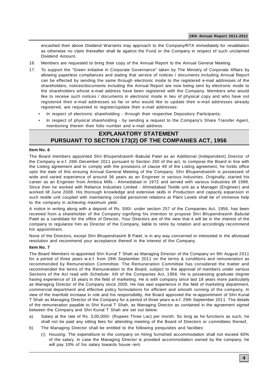encashed their above Dividend Warrants may approach to the Company/RTA immediately for revalidation as otherwise no claim thereafter shall lie against the Fund or the Company in respect of such unclaimed Dividend Amount.

- 16. Members are requested to bring their copy of the Annual Report to the Annual General Meeting.
- 17. To support the "Green Initiative in Corporate Governance" taken by The Ministry of Corporate Affairs by allowing paperless compliances and stating that service of notices / documents including Annual Report can be effected by sending the same through electronic mode to the registered e-mail addresses of the shareholders, notices/documents including the Annual Report are now being sent by electronic mode to the shareholders whose e-mail address have been registered with the Company. Members who would like to receive such notices / documents in electronic mode in lieu of physical copy and who have not registered their e-mail addresses so far or who would like to update their e-mail addresses already registered, are requested to register/update their e-mail addresses:
	- In respect of electronic shareholding through their respective Depository Participants;
	- In respect of physical shareholding by sending a request to the Company's Share Transfer Agent, mentioning therein their folio number and e-mail address.

# **EXPLANATORY STATEMENT PURSUANT TO SECTION 173(2) OF THE COMPANIES ACT, 1956**

### **Item No. 6**

The Board members appointed Shri Bhupendrasinh Babulal Patel as an Additional (Independent) Director of the Company w.e.f. 26th December 2011 pursuant to Section 260 of the act, to compose the Board in line with the Listing agreement and to comply with the provisions of clause 49 of the Listing agreement, he holds office upto the date of this ensuing Annual General Meeting of the Company. Shri Bhupendrasinh is possessed of wide and varied experience of around 36 years as an Engineer in various Industries. Originally, started his career as an Engineer from Ambica Mills - Ahmedabad in 1972 and served with various industries till 1988. Since then he worked with Reliance Industries Limited - Ahmedabad Textile unit as a Manager (Engineer) and worked till June 2008. His thorough knowledge and extensive skills in Production and capacity expansion in such textile unit coupled with maintaining cordial personnel relations at Plant Levels shall be of immense help to the company in achieving maximum yield.

A notice in writing along with a deposit of Rs. 500/- under section 257 of the Companies Act, 1956, has been received from a shareholder of the Company signifying his intention to propose Shri Bhupendrasinh Babulal Patel as a candidate for the office of Director, Your Directors are of the view that it will be in the interest of the company to regularize him as Director of the Company, liable to retire by rotation and accordingly recommend his appointment.

None of the Directors, except Shri Bhupendrasinh B Patel, is in any way concerned or interested in the aforesaid resolution and recommend your acceptance thereof in the interest of the Company.

### **Item No. 7**

The Board Members re-appointed Shri Kunal T Shah as Managing Director of the Company on 9th August 2011 for a period of three years w.e.f. from 29th September 2011 on the terms & conditions and remuneration as recommended by Remuneration Committee. The Remuneration Committee has considered the matter and recommended the terms of the Remuneration to the Board, subject to the approval of members under various Sections of the Act read with Schedule- XIII of the Companies Act, 1956. He is possessing graduate degree having experience of 16 years in the field of marketing. He is with company since last 18 years more particularly as Managing Director of the Company since 2005. He has vast experience in the field of marketing department, commercial department and effective policy formulations for efficient and smooth running of the company. In view of the manifold increase in role and his responsibility, the Board approved the re-appointment of Shri Kunal T Shah as Managing Director of the Company for a period of three years w.e.f. 29th September 2011. The details of the remuneration payable to Shri Kunal T Shah, as Managing Director as contained in the agreement signed between the Company and Shri Kunal T Shah are set out below:

- a) Salary at the rate of Rs. 3,00,000/- (Rupees Three Lac) per month. So long as he functions as such, he shall not be paid any sitting fees for attending meeting of the Board of Directors or committees thereof,
- b) The Managing Director shall be entitled to the following perquisites and facilities:
	- (i) Housing: The expenditure to the company on hiring furnished accommodation shall not exceed 60% of the salary. In case the Managing Director is provided accommodation owned by the company, he will pay 10% of his salary towards house rent.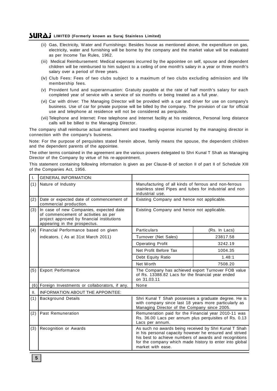- (ii) Gas, Electricity, Water and Furnishings: Besides house as mentioned above, the expenditure on gas, electricity, water and furnishing will be borne by the company and the market value will be evaluated as per Income Tax Rules, 1962.
- (iii) Medical Reimbursement: Medical expenses incurred by the appointee on self, spouse and dependent children will be reimbursed to him subject to a ceiling of one month's salary in a year or three month's salary over a period of three years.
- (iv) Club Fees: Fees of two clubs subject to a maximum of two clubs excluding admission and life membership fees.
- (v) Provident fund and superannuation: Gratuity payable at the rate of half month's salary for each completed year of service with a service of six months or being treated as a full year.
- (vi) Car with driver: The Managing Director will be provided with a car and driver for use on company's business. Use of car for private purpose will be billed by the company. The provision of car for official use and telephone at residence will not be considered as perquisite.
- (vii) Telephone and Internet: Free telephone and Internet facility at his residence, Personal long distance calls will be billed to the Managing Director.

The company shall reimburse actual entertainment and travelling expense incurred by the managing director in connection with the company's business.

Note: For the purpose of perquisites stated herein above, family means the spouse, the dependent children and the dependent parents of the appointee.

The other terms contained in the agreement are the various powers delegated to Shri Kunal T Shah as Managing Director of the Company by virtue of his re-appointment.

This statement containing following information is given as per Clause-B of section II of part II of Schedule XIII of the Companies Act, 1956.

| I.  | <b>GENERAL INFORMATION:</b>                                                                                                                                   |                                                                                                                                                                                                                                                            |               |  |
|-----|---------------------------------------------------------------------------------------------------------------------------------------------------------------|------------------------------------------------------------------------------------------------------------------------------------------------------------------------------------------------------------------------------------------------------------|---------------|--|
| (1) | Nature of Industry                                                                                                                                            | Manufacturing of all kinds of ferrous and non-ferrous<br>stainless steel Pipes and tubes for industrial and non<br>industrial use.                                                                                                                         |               |  |
| (2) | Date or expected date of commencement of<br>commercial production.                                                                                            | Existing Company and hence not applicable.                                                                                                                                                                                                                 |               |  |
| (3) | In case of new Companies, expected date<br>of commencement of activities as per<br>project approved by financial institutions<br>appearing in the prospectus. | Existing Company and hence not applicable.                                                                                                                                                                                                                 |               |  |
| (4) | Financial Performance based on given                                                                                                                          | Particulars                                                                                                                                                                                                                                                | (Rs. In Lacs) |  |
|     | indicators. (As at 31st March 2011)                                                                                                                           | Turnover (Net Sales)                                                                                                                                                                                                                                       | 23817.58      |  |
|     |                                                                                                                                                               | <b>Operating Profit</b>                                                                                                                                                                                                                                    | 3242.19       |  |
|     |                                                                                                                                                               | Net Profit Before Tax<br>1004.35                                                                                                                                                                                                                           |               |  |
|     |                                                                                                                                                               | Debt Equity Ratio                                                                                                                                                                                                                                          | 1.48:1        |  |
|     |                                                                                                                                                               | Net Worth                                                                                                                                                                                                                                                  | 7508.20       |  |
| (5) | <b>Export Performance</b>                                                                                                                                     | The Company has achieved export Turnover FOB value<br>of Rs. 13388.82 Lacs for the financial year ended<br>on 31.03.11                                                                                                                                     |               |  |
|     | (6) Foreign Investments or collaborators, if any.                                                                                                             | None                                                                                                                                                                                                                                                       |               |  |
| Ш.  | INFORMATION ABOUT THE APPOINTEE:                                                                                                                              |                                                                                                                                                                                                                                                            |               |  |
| (1) | <b>Background Details</b>                                                                                                                                     | Shri Kunal T Shah possesses a graduate degree. He is<br>with company since last 18 years more particularly as<br>Managing Director of the Company since 2005.                                                                                              |               |  |
| (2) | Past Remuneration                                                                                                                                             | Remuneration paid for the Financial year 2010-11 was<br>Rs. 36.00 Lacs per annum plus perquisites of Rs. 0.13<br>Lacs per annum.                                                                                                                           |               |  |
| (3) | Recognition or Awards                                                                                                                                         | As such no awards being received by Shri Kunal T Shah<br>in his personal capacity however he ensured and strived<br>his best to achieve numbers of awards and recognitions<br>for the company which made history to enter into global<br>market with ease. |               |  |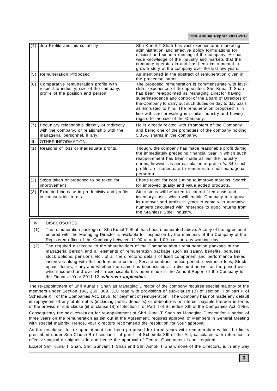| (4)  | Job Profile and his suitability                                                                                                                                                                                                                                                                                                                                                                                                                                                                                                                                                                                                                                                       | Shri Kunal T Shah has vast experience in marketing,<br>administration and effective policy formulations for<br>efficient and smooth running of the company. He has<br>wide knowledge of the industry and markets that the<br>company operates in and has been instrumental in<br>growth story of the company over the last few years.                                                                                                                |  |  |  |  |  |
|------|---------------------------------------------------------------------------------------------------------------------------------------------------------------------------------------------------------------------------------------------------------------------------------------------------------------------------------------------------------------------------------------------------------------------------------------------------------------------------------------------------------------------------------------------------------------------------------------------------------------------------------------------------------------------------------------|------------------------------------------------------------------------------------------------------------------------------------------------------------------------------------------------------------------------------------------------------------------------------------------------------------------------------------------------------------------------------------------------------------------------------------------------------|--|--|--|--|--|
| (5)  | <b>Remuneration Proposed</b>                                                                                                                                                                                                                                                                                                                                                                                                                                                                                                                                                                                                                                                          | As mentioned in the abstract of remuneration given in<br>the preceding paras.                                                                                                                                                                                                                                                                                                                                                                        |  |  |  |  |  |
| (6)  | Comparative remuneration profile with<br>respect to industry, size of the company,<br>profile of the position and person.                                                                                                                                                                                                                                                                                                                                                                                                                                                                                                                                                             | The proposed remuneration is commensurate with level<br>skills, experience of the appointee. Shri Kunal T Shah<br>has been re-appointed as Managing Director having<br>superintendence and control of the Board of Directors of<br>the Company to carry out such duties on day to day basis<br>as entrusted to him. The remuneration proposed is in<br>line with and prevailing in similar industry and having<br>regard to the size of the Company. |  |  |  |  |  |
| (7)  | Pecuniary relationship directly or indirectly<br>with the company, or relationship with the<br>managerial personnel, if any.                                                                                                                                                                                                                                                                                                                                                                                                                                                                                                                                                          | He is directly related with Promoters of the Company<br>and being one of the promoters of the company holding<br>5.35% shares in the company.                                                                                                                                                                                                                                                                                                        |  |  |  |  |  |
| III. | <b>OTHER INFORMATION:</b>                                                                                                                                                                                                                                                                                                                                                                                                                                                                                                                                                                                                                                                             |                                                                                                                                                                                                                                                                                                                                                                                                                                                      |  |  |  |  |  |
| (1)  | Reasons of loss or inadequate profits.                                                                                                                                                                                                                                                                                                                                                                                                                                                                                                                                                                                                                                                | Though, the company has made reasonable profit during<br>the immediately preceding financial year in which such<br>reappointment has been made as per the industry<br>norms, however as per calculation of profit u/s. 349 such<br>profits are inadequate to remunerate such managerial<br>personnel.                                                                                                                                                |  |  |  |  |  |
| (2)  | Steps taken or proposed to be taken for<br>improvement                                                                                                                                                                                                                                                                                                                                                                                                                                                                                                                                                                                                                                | Efforts taken for cost cutting to improve margins. Search<br>for improved quality and value added products.                                                                                                                                                                                                                                                                                                                                          |  |  |  |  |  |
| (3)  | Expected increase in productivity and profits<br>Strict steps will be taken to control fixed costs and<br>in measurable terms.<br>inventory costs, which will enable Company to improve<br>its turnover and profits in years to come with normative<br>numbers calculated with reference to good returns from<br>the Stainless Steel Industry.                                                                                                                                                                                                                                                                                                                                        |                                                                                                                                                                                                                                                                                                                                                                                                                                                      |  |  |  |  |  |
| IV.  | DISCLOSURES:                                                                                                                                                                                                                                                                                                                                                                                                                                                                                                                                                                                                                                                                          |                                                                                                                                                                                                                                                                                                                                                                                                                                                      |  |  |  |  |  |
|      | The remuneration package of Shri Kunal T Shah has been enumerated above. A copy of the agreement<br>(1)<br>entered with the Managing Director is available for inspection by the members of the Company at the<br>Registered office of the Company between 11.00 a.m. to 1.00 p.m. on any working day.                                                                                                                                                                                                                                                                                                                                                                                |                                                                                                                                                                                                                                                                                                                                                                                                                                                      |  |  |  |  |  |
|      | The required disclosure to the shareholders of the Company about remuneration package of the<br>(2)<br>managerial person and all elements of remuneration package such as salary, benefits, bonuses,<br>stock options, pensions etc., of all the directors; details of fixed component and performance linked<br>incentives along with the performance criteria; Service contract, notice period, severance fees; Stock<br>option details, if any and whether the same has been issued at a discount as well as the period over<br>which accrued and over which exercisable has been made in the Annual Report of the Company for<br>the Financial Year 2011-12, wherever applicable. |                                                                                                                                                                                                                                                                                                                                                                                                                                                      |  |  |  |  |  |

The re-appointment of Shri Kunal T Shah as Managing Director of the company requires special majority of the members under Section 198, 269, 309, 310 read with provisions of sub-clause (B) of section II of part II of Schedule XIII of the Companies Act, 1956, for payment of remuneration. The Company has not made any default in repayment of any of its debts (including public deposits) or debentures or interest payable thereon in terms of the proviso of sub clause (ii) of clause (B) of Section II of Part II of Schedule XIII of the Companies Act, 1956. Consequently the said resolution for re-appointment of Shri Kunal T Shah as Managing Director for a period of three years on the remuneration as set out in the Agreement, requires approval of Members in General Meeting

with special majority. Hence, your directors recommend the resolution for your approval. As the resolution for re-appointment has been proposed for three years with remuneration within the limits

prescribed under Sub-Clause-B of section II of part II of Schedule XIII of the Act, calculated with reference to effective capital on higher side and hence the approval of Central Government is not required.

Except Shri Kunal T Shah, Shri Gunvant T Shah and Shri Ashok T Shah, none of the Directors, is in any way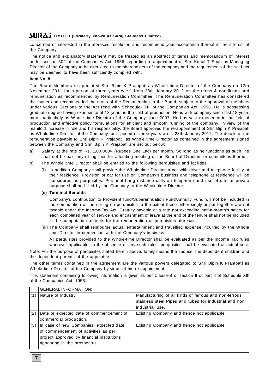concerned or interested in the aforesaid resolution and recommend your acceptance thereof in the interest of the Company.

The notice and explanatory statement may be treated as an abstract of terms and memorandum of interest under section 302 of the Companies Act, 1956, regarding re-appointment of Shri Kunal T Shah as Managing Director of the Company to be circulated to the shareholders of the company and the requirement of the said act may be deemed to have been sufficiently complied with.

### **Item No. 8**

The Board Members re-appointed Shri Bipin K Prajapati as Whole time Director of the Company on 12th November 2011 for a period of three years w.e.f. from 28th January 2012 on the terms & conditions and remuneration as recommended by Remuneration Committee. The Remuneration Committee has considered the matter and recommended the terms of the Remuneration to the Board, subject to the approval of members under various Sections of the Act read with Schedule- XIII of the Companies Act, 1956. He is possessing graduate degree having experience of 18 years in the field of production. He is with company since last 18 years more particularly as Whole time Director of the Company since 2007. He has vast experience in the field of production and effective policy formulations for efficient and smooth running of the company. In view of the manifold increase in role and his responsibility, the Board approved the re-appointment of Shri Bipin K Prajapati as Whole time Director of the Company for a period of three years w.e.f. 28th January 2012. The details of the remuneration payable to Shri Bipin K Prajapati, as Whole time Director as contained in the agreement signed between the Company and Shri Bipin K Prajapati are set out below:

- a) **Salary** at the rate of Rs, 1,00,000/- (Rupees One Lac) per month. So long as he functions as such, he shall not be paid any sitting fees for attending meeting of the Board of Directors or committees thereof,
- b) The Whole time Director shall be entitled to the following perquisites and facilities:
	- (i) In addition Company shall provide the Whole-time Director a car with driver and telephone facility at their residence. Provision of car for use on Company's business and telephone at residence will be considered as perquisites. Personal Long distance calls on telephone and use of car for private purpose shall be billed by the Company to the Whole-time Director.

### **(ii) Terminal Benefits**

Company's contribution to Provident fund/Superannuation Fund/Annuity Fund will not be included in the computation of the ceiling on perquisites to the extent these either singly or put together are not taxable under the Income-Tax Act. Gratuity payable at a rate not exceeding half-a-month's salary for each completed year of service and encashment of leave at the end of the tenure shall not be included in the computation of limits for the remuneration or perquisites aforesaid.

(iii) The Company shall reimburse actual entertainment and travelling expense incurred by the Whole time Director in connection with the Company's business.

All perquisites provided to the Whole-time Director shall be evaluated as per the Income Tax rules wherever applicable. In the absence of any such rules, perquisites shall be evaluated at actual cost.

Note: For the purpose of perquisites stated herein above, family means the spouse, the dependent children and the dependent parents of the appointee.

The other terms contained in the agreement are the various powers delegated to Shri Bipin K Prajapati as Whole time Director of the Company by virtue of his re-appointment.

This statement containing following information is given as per Clause-B of section II of part II of Schedule XIII of the Companies Act, 1956.

| II. | <b>GENERAL INFORMATION:</b>                                                                                                                                   |                                                                                                                                    |
|-----|---------------------------------------------------------------------------------------------------------------------------------------------------------------|------------------------------------------------------------------------------------------------------------------------------------|
| (1) | Nature of Industry                                                                                                                                            | Manufacturing of all kinds of ferrous and non-ferrous<br>stainless steel Pipes and tubes for industrial and non<br>industrial use. |
| (2) | Date or expected date of commencement of<br>commercial production.                                                                                            | Existing Company and hence not applicable.                                                                                         |
| (3) | In case of new Companies, expected date<br>of commencement of activities as per<br>project approved by financial institutions<br>appearing in the prospectus. | Existing Company and hence not applicable.                                                                                         |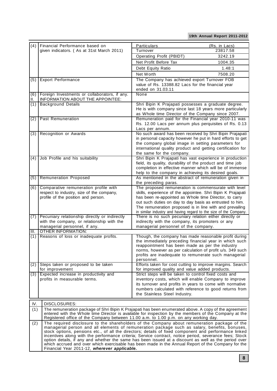| (4)  | Financial Performance based on                                                                                                                                                                                                                                                                                | Particulars                                                                                                           | (Rs. in Lacs) |  |  |  |  |
|------|---------------------------------------------------------------------------------------------------------------------------------------------------------------------------------------------------------------------------------------------------------------------------------------------------------------|-----------------------------------------------------------------------------------------------------------------------|---------------|--|--|--|--|
|      | given indicators. (As at 31st March 2011)                                                                                                                                                                                                                                                                     | Turnover                                                                                                              | 23817.58      |  |  |  |  |
|      |                                                                                                                                                                                                                                                                                                               | Operating Profit (PBIDT)                                                                                              | 3242.19       |  |  |  |  |
|      |                                                                                                                                                                                                                                                                                                               | Net Profit Before Tax                                                                                                 | 1004.35       |  |  |  |  |
|      |                                                                                                                                                                                                                                                                                                               | Debt Equity Ratio                                                                                                     | 1.48:1        |  |  |  |  |
|      |                                                                                                                                                                                                                                                                                                               | Net Worth                                                                                                             | 7508.20       |  |  |  |  |
| (5)  | <b>Export Performance</b>                                                                                                                                                                                                                                                                                     | The Company has achieved export Turnover FOB                                                                          |               |  |  |  |  |
|      |                                                                                                                                                                                                                                                                                                               | value of Rs. 13388.82 Lacs for the financial year<br>ended on 31.03.11                                                |               |  |  |  |  |
| (6)  | Foreign Investments or collaborators, if any.                                                                                                                                                                                                                                                                 | None                                                                                                                  |               |  |  |  |  |
| II.  | INFORMATION ABOUT THE APPOINTEE:                                                                                                                                                                                                                                                                              |                                                                                                                       |               |  |  |  |  |
| (1)  | <b>Background Details</b>                                                                                                                                                                                                                                                                                     | Shri Bipin K Prajapati possesses a graduate degree.                                                                   |               |  |  |  |  |
|      |                                                                                                                                                                                                                                                                                                               | He is with company since last 18 years more particularly                                                              |               |  |  |  |  |
|      | Past Remuneration                                                                                                                                                                                                                                                                                             | as Whole time Director of the Company since 2007.<br>Remuneration paid for the Financial year 2010-11 was             |               |  |  |  |  |
| (2)  |                                                                                                                                                                                                                                                                                                               | Rs. 12.00 Lacs per annum plus perquisites of Rs. 0.13                                                                 |               |  |  |  |  |
|      |                                                                                                                                                                                                                                                                                                               | Lacs per annum.                                                                                                       |               |  |  |  |  |
| (3)  | Recognition or Awards                                                                                                                                                                                                                                                                                         | No such award has been received by Shri Bipin Prajapati                                                               |               |  |  |  |  |
|      |                                                                                                                                                                                                                                                                                                               | in personal capacity however he put in hard efforts to get                                                            |               |  |  |  |  |
|      |                                                                                                                                                                                                                                                                                                               | the company global image in setting parameters for                                                                    |               |  |  |  |  |
|      |                                                                                                                                                                                                                                                                                                               | international quality product and getting certification for                                                           |               |  |  |  |  |
| (4)  | Job Profile and his suitability                                                                                                                                                                                                                                                                               | the same for the company.<br>Shri Bipin K Prajapati has vast experience in production                                 |               |  |  |  |  |
|      |                                                                                                                                                                                                                                                                                                               | field, its quality, durability of the product and time job                                                            |               |  |  |  |  |
|      |                                                                                                                                                                                                                                                                                                               | completion in effective manner which will be of immense                                                               |               |  |  |  |  |
|      |                                                                                                                                                                                                                                                                                                               | help to the company in achieving its desired goals.                                                                   |               |  |  |  |  |
| (5)  | <b>Remuneration Proposed</b>                                                                                                                                                                                                                                                                                  | As mentioned in the abstract of remuneration given in                                                                 |               |  |  |  |  |
|      |                                                                                                                                                                                                                                                                                                               | the preceding paras.                                                                                                  |               |  |  |  |  |
| (6)  | Comparative remuneration profile with                                                                                                                                                                                                                                                                         | The proposed remuneration is commensurate with level                                                                  |               |  |  |  |  |
|      | respect to industry, size of the company,<br>profile of the position and person.                                                                                                                                                                                                                              | skills, experience of the appointee. Shri Bipin K Prajapati<br>has been re-appointed as Whole time Director, to carry |               |  |  |  |  |
|      |                                                                                                                                                                                                                                                                                                               | out such duties on day to day basis as entrusted to him.                                                              |               |  |  |  |  |
|      |                                                                                                                                                                                                                                                                                                               | The remuneration proposed is in line with and prevailing                                                              |               |  |  |  |  |
|      |                                                                                                                                                                                                                                                                                                               | in similar industry and having regard to the size of the Company.                                                     |               |  |  |  |  |
| (7)  | Pecuniary relationship directly or indirectly                                                                                                                                                                                                                                                                 | There is no such pecuniary relation either directly or                                                                |               |  |  |  |  |
|      | with the company, or relationship with the                                                                                                                                                                                                                                                                    | indirectly with the company, its promoters or any<br>managerial personnel of the company.                             |               |  |  |  |  |
| III. | managerial personnel, if any.<br><b>OTHER INFORMATION:</b>                                                                                                                                                                                                                                                    |                                                                                                                       |               |  |  |  |  |
| (1)  | Reasons of loss or inadequate profits.                                                                                                                                                                                                                                                                        | Though, the company has made reasonable profit during                                                                 |               |  |  |  |  |
|      |                                                                                                                                                                                                                                                                                                               | the immediately preceding financial year in which such                                                                |               |  |  |  |  |
|      |                                                                                                                                                                                                                                                                                                               | reappointment has been made as per the industry                                                                       |               |  |  |  |  |
|      |                                                                                                                                                                                                                                                                                                               | norms, however as per calculation of profit u/s. 349 such<br>profits are inadequate to remunerate such managerial     |               |  |  |  |  |
|      |                                                                                                                                                                                                                                                                                                               | personnel.                                                                                                            |               |  |  |  |  |
| (2)  | Steps taken or proposed to be taken                                                                                                                                                                                                                                                                           | Efforts taken for cost cutting to improve margins. Search                                                             |               |  |  |  |  |
|      | for improvement                                                                                                                                                                                                                                                                                               | for improved quality and value added products.                                                                        |               |  |  |  |  |
| (3)  | Expected increase in productivity and                                                                                                                                                                                                                                                                         | Strict steps will be taken to control fixed costs and                                                                 |               |  |  |  |  |
|      | profits in measurable terms.                                                                                                                                                                                                                                                                                  | inventory costs, which will enable Company to improve                                                                 |               |  |  |  |  |
|      |                                                                                                                                                                                                                                                                                                               | its turnover and profits in years to come with normative<br>numbers calculated with reference to good returns from    |               |  |  |  |  |
|      |                                                                                                                                                                                                                                                                                                               | the Stainless Steel Industry.                                                                                         |               |  |  |  |  |
|      |                                                                                                                                                                                                                                                                                                               |                                                                                                                       |               |  |  |  |  |
| IV.  | <b>DISCLOSURES:</b>                                                                                                                                                                                                                                                                                           |                                                                                                                       |               |  |  |  |  |
|      | (1)<br>The remuneration package of Shri Bipin K Prajapati has been enumerated above. A copy of the agreement<br>entered with the Whole time Director is available for inspection by the members of the Company at the<br>Registered office of the Company between 11.00 a.m. to 1.00 p.m. on any working day. |                                                                                                                       |               |  |  |  |  |
| (2)  | The required disclosure to the shareholders of the Company about remuneration package of the                                                                                                                                                                                                                  |                                                                                                                       |               |  |  |  |  |
|      | managerial person and all elements of remuneration package such as salary, benefits, bonuses,                                                                                                                                                                                                                 |                                                                                                                       |               |  |  |  |  |
|      | stock options, pensions etc., of all the directors; details of fixed component and performance linked                                                                                                                                                                                                         |                                                                                                                       |               |  |  |  |  |
|      | incentives along with the performance criteria; Service contract, notice period, severance fees; Stock<br>option details, if any and whether the same has been issued at a discount as well as the period over                                                                                                |                                                                                                                       |               |  |  |  |  |
|      | which accrued and over which exercisable has been made in the Annual Report of the Company for the                                                                                                                                                                                                            |                                                                                                                       |               |  |  |  |  |
|      | Financial Year 2011-12, wherever applicable.                                                                                                                                                                                                                                                                  |                                                                                                                       |               |  |  |  |  |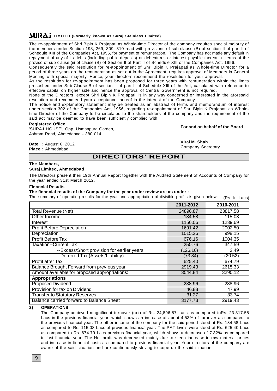The re-appointment of Shri Bipin K Prajapati as Whole-time Director of the company requires special majority of the members under Section 198, 269, 309, 310 read with provisions of sub-clause (B) of section II of part II of Schedule XIII of the Companies Act, 1956, for payment of remuneration. The Company has not made any default in repayment of any of its debts (including public deposits) or debentures or interest payable thereon in terms of the proviso of sub clause (ii) of clause (B) of Section II of Part II of Schedule XIII of the Companies Act, 1956.

Consequently the said resolution for re-appointment of Shri Bipin K Prajapati as Whole-time Director for a period of three years on the remuneration as set out in the Agreement, requires approval of Members in General Meeting with special majority. Hence, your directors recommend the resolution for your approval.

As the resolution for re-appointment has been proposed for three years with remuneration within the limits prescribed under Sub-Clause-B of section II of part II of Schedule XIII of the Act, calculated with reference to effective capital on higher side and hence the approval of Central Government is not required.

None of the Directors, except Shri Bipin K Prajapati, is in any way concerned or interested in the aforesaid resolution and recommend your acceptance thereof in the interest of the Company.

The notice and explanatory statement may be treated as an abstract of terms and memorandum of interest under section 302 of the Companies Act, 1956, regarding re-appointment of Shri Bipin K Prajapati as Wholetime Director of the Company to be circulated to the shareholders of the company and the requirement of the said act may be deemed to have been sufficiently complied with.

### **Registered Office**

'SURAJ HOUSE', Opp. Usmanpura Garden, Ashram Road, Ahmedabad - 380 014

### **For and on behalf of the Board**

**Date :** August 6, 2012 **Place :** Ahmedabad

**Viral M. Shah** Company Secretary

### **DIRECTORS' REPORT**

### **The Members, Suraj Limited, Ahmedabad**

The Directors present their 19th Annual Report together with the Audited Statement of Accounts of Company for the year ended 31st March 2012.

### **Financial Results**

**The financial results of the Company for the year under review are as under :**

The summary of operating results for the year and appropriation of divisible profits is given below: (Rs. In Lacs)

|                                               | 2011-2012 | 2010-2011 |
|-----------------------------------------------|-----------|-----------|
| <b>Total Revenue (Net)</b>                    | 24896.87  | 23817.58  |
| Other Income                                  | 134.58    | 115.08    |
| Interest                                      | 1156.06   | 1239.69   |
| <b>Profit Before Depreciation</b>             | 1691.42   | 2002.50   |
| Depreciation                                  | 1015.26   | 998.15    |
| Profit Before Tax                             | 676.16    | 1004.35   |
| Taxation--Current Tax                         | 250.76    | 347.59    |
| --Excess/Short provision for earlier years    | (126.16)  | 2.49      |
| --Deferred Tax (Assets/Liability)             | (73.84)   | (20.52)   |
| <b>Profit after Tax</b>                       | 625.40    | 674.79    |
| Balance Brought Forward from previous year    | 2919.43   | 2615.33   |
| Amount available for proposed appropriations: | 3544.84   | 3290.12   |
| <b>Appropriations</b>                         |           |           |
| <b>Proposed Dividend</b>                      | 288.96    | 288.96    |
| Provision for tax on Dividend                 | 46.88     | 47.99     |
| <b>Transfer to Statutory Reserves</b>         | 31.27     | 33.74     |
| Balance carried forward to Balance Sheet      | 3177.73   | 2919.43   |

**2) OPERATIONS**

The Company achieved magnificent turnover (net) of Rs. 24,896.87 Lacs as compared toRs. 23,817.58 Lacs in the previous financial year, which shows an increase of about 4.53% of turnover as compared to the previous financial year. The other income of the company for the said period stood at Rs. 134.58 Lacs as compared to Rs. 115.08 Lacs of previous financial year. The PAT levels were stood at Rs. 625.40 Lacs as compared to Rs. 674.79 Lacs previous financial year, which shows a decrease of 7.32% as compared to last financial year. The Net profit was decreased mainly due to steep increase in raw material prices and increase in financial costs as compared to previous financial year. Your directors of the company are aware of the said situation and are continuously striving to cope up the said situation.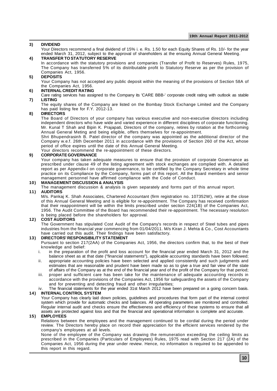### **3) DIVIDEND**

Your Directors recommend a final dividend of 15% i. e. Rs. 1.50 for each Equity Shares of Rs. 10/- for the year ended March 31, 2012, subject to the approval of shareholders at the ensuing Annual General Meeting.

### **4) TRANSFER TO STATUTORY RESERVE**

In accordance with the statutory provisions and companies (Transfer of Profit to Reserves) Rules, 1975, The Company has transferred 5% of its distributable profit to Statutory Reserve as per the provision of Companies Act, 1956.

### **5) DEPOSITS**

Your Company has not accepted any public deposit within the meaning of the provisions of Section 58A of the Companies Act, 1956.

### **6) INTERNAL CREDIT RATING**

Care rating services has assigned to the Company its 'CARE BBB-' corporate credit rating with outlook as stable **7) LISTING**

The equity shares of the Company are listed on the Bombay Stock Exchange Limited and the Company has paid listing fee for F.Y. 2012-13.

### **8) DIRECTORS**

The Board of Directors of your company has various executive and non-executive directors including independent directors who have wide and varied experience in different disciplines of corporate functioning. Mr. Kunal T Shah and Bipin K. Prajapati, Directors of the company, retires by rotation at the forthcoming Annual General Meting and being eligible, offers themselves for re-appointment.

Shri Bhupendrasinh B. Patel director of the company was appointed as the additional director of the Company w.e.f. 26th December 2011 in accordance with the provisions of Section 260 of the Act, whose period of office expires until the date of this Annual General Meeting.

Your directors recommend the re-appointment of these directors.

### **9) CORPORATE GOVERNANCE**

Your company has taken adequate measures to ensure that the provision of corporate Governance as prescribed under clause 49 of the listing agreement with stock exchanges are complied with. A detailed report as per Appendix-I on corporate governance, to be certified by the Company Secretary in whole time practice on its Compliance by the Company, forms part of this report. All the Board members and senior management personnel have affirmed compliance with the Code of Conduct.

### **10) MANAGEMENT DISCUSSION & ANALYSIS**

The management discussion & analysis is given separately and forms part of this annual report.

### **11) AUDITORS**

M/s. Pankaj K. Shah Associates, Chartered Accountant (firm registration no. 107352W), retire at the close of this Annual General Meeting and is eligible for re-appointment. The Company has received confirmation that their reappointment will be within the limits prescribed under section 224(1B) of the Companies Act, 1956. The Audit Committee of the Board has recommended their re-appointment. The necessary resolution is being placed before the shareholders for approval.

### **12) COST AUDITORS**

The Government has stipulated Cost Audit of the Company's records in respect of Steel tubes and pipes industries from the financial year commencing from 01/04/2011. M/s Kiran J. Mehta & Co., Cost Accountants have carried out this audit. Their findings have been satisfactory.

### **13) DIRECTORS' RESPONSIBILITY STATEMENT**

Pursuant to section 217(2AA) of the Companies Act, 1956, the directors confirm that, to the best of their knowledge and belief:

- i. in the preparation of the profit and loss account for the financial year ended March 31, 2012 and the balance sheet as at that date ("financial statements"), applicable accounting standards have been followed;
- ii. appropriate accounting policies have been selected and applied consistently and such judgments and estimates that are reasonable and prudent have been made so as to give a true and fair view of the state of affairs of the Company as at the end of the financial year and of the profit of the Company for that period;
- iii. proper and sufficient care has been take for the maintenance of adequate accounting records in accordance with the provisions of the Companies Act, 1956 for safeguarding the assets of the Company and for preventing and detecting fraud and other irregularities;
- iv. The financial statements for the year ended 31st March 2012 have been prepared on a going concern basis.

### **14) INTERNAL CONTROL SYSTEM**

Your Company has clearly laid down policies, guidelines and procedures that form part of the internal control system which provide for automatic checks and balances. All operating parameters are monitored and controlled. Regular internal audit and checks ensure the effectiveness and efficiency of these systems to ensure that all assets are protected against loss and that the financial and operational information is complete and accurate.

### **15) EMPLOYEES**

Relations between the employees and the management continued to be cordial during the period under review. The Directors hereby place on record their appreciation for the efficient services rendered by the company's employees at all levels.

None of the employee of the Company was drawing the remuneration exceeding the ceiling limits as prescribed in the Companies (Particulars of Employees) Rules, 1975 read with Section 217 (2A) of the Companies Act, 1956 during the year under review. Hence, no information is required to be appended to this report in this regard.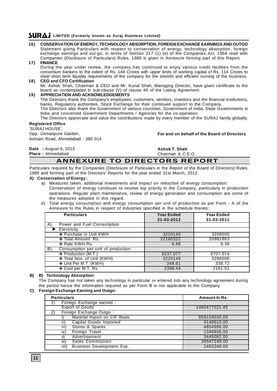- **16) CONSERVATION OF ENERGY, TECHNOLOGY ABSORPTION, FOREIGN EXCHANGE EARNINGS AND OUTGO** Statement giving Particulars with respect to conservation of energy, technology absorption, foreign exchange earnings and out-go, in terms of Section 217 (1) (e) of the Companies Act, 1956 read with Companies (Disclosure of Particulars) Rules, 1988 is given in Annexure forming part of this Report.
- **17) FINANCE** During the year under review, the company has continued to enjoy various credit facilities from the consortium bankers to the extent of Rs. 148 Crores with upper limits of working capital of Rs. 114 Crores to meet short term liquidity requirements of the company for the smooth and efficient running of the business. **18) CEO and CFO Certification**
- Mr. Ashok Shah, Chairman & CEO and Mr. Kunal Shah, Managing Director, have given certificate to the board as contemplated in sub-clause (V) of clause 49 of the Listing Agreement.

### **19) APPRECIATION AND ACKNOWLEDGEMENTS**

The Directors thank the Company's employees, customers, vendors, investors and the financial institutions, banks, Regulatory authorities, Stock Exchange for their continued support to the Company.

The Directors also thank the Government of various countries, Government of India, State Governments in India and concerned Government Departments / Agencies for the co-operation.

The Directors appreciate and value the contributions made by every member of the SURAJ family globally.

# **Registered Office**

'SURAJ HOUSE', Opp. Usmanpura Garden, Ashram Road, Ahmedabad - 380 014

**For and on behalf of the Board of Directors**

**Date :** August 6, 2012 **Place :** Ahmedabad

**Ashok T. Shah** Chairman & C.E.O.

# **ANNEXURE TO DIRECTORS REPORT**

Particulars required by the Companies (Disclosure of Particulars in the Report of the Board of Directors) Rules, 1988 and forming part of the Directors' Reports for the year ended 31st March, 2012.

### **A) Conservation of Energy :**

a) Measures taken, additional investments and impact on reduction of energy consumption: Conservation of energy continues to receive top priority in the Company, particularly in production operations. Regular plant maintenance, review of energy generation and consumption are some of the measures adopted in this regard.

### b) Total energy consumption and energy consumption per unit of production as per Form - A of the Annexure to the Rules in respect of Industries specified in the schedule thereto:

| <b>Particulars</b>                        | <b>Year Ended</b><br>31-03-2012 | <b>Year Ended</b><br>31-03-2011 |
|-------------------------------------------|---------------------------------|---------------------------------|
| Power and Fuel Consumption<br>A).         |                                 |                                 |
| Electricity                               |                                 |                                 |
| ❖ Purchase in Unit KWH                    | 3220140                         | 3288000                         |
| <b>In</b> otal Amount Rs.                 | 22160322                        | 20981963                        |
| ❖ Rate KWH Rs.                            | 6.88                            | 6.38                            |
| Consumption per unit of production<br>B). |                                 |                                 |
| ❖ Production (M.T.)                       | 9237.077                        | 9707.074                        |
| ❖ Total Nos. of Unit (KWH)                | 3220140                         | 3288000                         |
| ❖ Unit Per M.T. (KWH)                     | 348.61                          | 338.72                          |
| ❖ Cost per M.T. Rs.                       | 2398.44                         | 2161.51                         |

### **B) B) Technology Absorption:**

The Company has not taken any technology in particular or entered into any technology agreement during the period hence the information required as per Form B is not applicable to the Company.

### **C) Foreign Exchange Earning and Outgo:**

| <b>Particulars</b>                       | Amount In Rs. |
|------------------------------------------|---------------|
| Foreign Exchange earned :                |               |
| <b>Export of Goods</b>                   | 1465477021.45 |
| Foreign Exchange Outgo:                  |               |
| Material Import on CIF Basis             | 959104035.00  |
| Capital Goods Imported<br>ii)            | 4140610.00    |
| Stores & Spares<br>iii)                  | 4854996.00    |
| Foreign Travel<br>iv)                    | 1340936.00    |
| Advertisement                            | 3445092.00    |
| <b>Sales Commission</b><br>vi)           | 26547249.00   |
| <b>Business Development Exp.</b><br>vii) | 2463248.00    |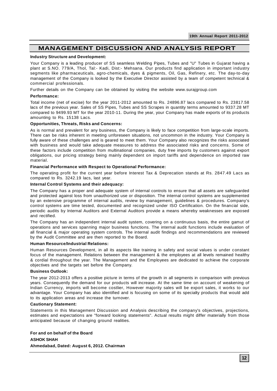# **MANAGEMENT DISCUSSION AND ANALYSIS REPORT**

### **Industry Structure and Development:**

Your Company is a leading producer of SS seamless Welding Pipes, Tubes and "U" Tubes in Gujarat having a plant at S.NO. 779/A, Thol, Tal:- Kadi, Dist:- Mehsana. Our products find application in important industry segments like pharmaceuticals, agro-chemicals, dyes & pigments, Oil, Gas, Refinery, etc. The day-to-day management of the Company is looked by the Executive Director assisted by a team of competent technical & commercial professionals.

Further details on the Company can be obtained by visiting the website www.surajgroup.com

### **Performance:**

Total income (net of excise) for the year 2011-2012 amounted to Rs. 24896.87 lacs compared to Rs. 23817.58 lacs of the previous year. Sales of SS Pipes, Tubes and SS Scrapes in quantity terms amounted to 9337.28 MT compared to 9499.93 MT for the year 2010-11. During the year, your Company has made exports of its products amounting to Rs. 15138 Lacs.

### **Opportunities, Threats, Risks and Concerns:**

As is normal and prevalent for any business, the Company is likely to face competition from large-scale imports. There can be risks inherent in meeting unforeseen situations, not uncommon in the industry. Your Company is fully aware of these challenges and is geared to meet them. Your Company also recognizes the risks associated with business and would take adequate measures to address the associated risks and concerns. Some of these factors include competition from multinational companies, duty free imports by customers against export obligations, our pricing strategy being mainly dependent on import tariffs and dependence on imported raw material.

### **Financial Performance with Respect to Operational Performance:**

The operating profit for the current year before Interest Tax & Deprecation stands at Rs. 2847.49 Lacs as compared to Rs. 3242.19 lacs, last year.

### **Internal Control Systems and their adequacy:**

The Company has a proper and adequate system of internal controls to ensure that all assets are safeguarded and protected against loss from unauthorized use or disposition. The internal control systems are supplemented by an extensive programme of internal audits, review by management, guidelines & procedures. Company's control systems are time tested, documented and recognized under ISO Certification. On the financial side, periodic audits by Internal Auditors and External Auditors provide a means whereby weaknesses are exposed and rectified.

The Company has an independent internal audit system, covering on a continuous basis, the entire gamut of operations and services spanning major business functions. The internal audit functions include evaluation of all financial & major operating system controls. The internal audit findings and recommendations are reviewed by the Audit Committee and are then reported to the Board.

### **Human Resource/Industrial Relations:**

Human Resources Development, in all its aspects like training in safety and social values is under constant focus of the management. Relations between the management & the employees at all levels remained healthy & cordial throughout the year. The Management and the Employees are dedicated to achieve the corporate objectives and the targets set before the Company.

### **Business Outlook:**

The year 2012-2013 offers a positive picture in terms of the growth in all segments in comparison with previous years. Consequently the demand for our products will increase. At the same time on account of weakening of Indian Currency, imports will become costlier, However majority sales will be export sales, it works to our advantage. Your Company has also identified and is focusing on some of its specialty products that would add to its application areas and increase the turnover.

### **Cautionary Statement:**

Statements in this Management Discussion and Analysis describing the company's objectives, projections, estimates and expectations are "forward looking statements". Actual results might differ materially from those anticipated because of changing ground realities.

**For and on behalf of the Board ASHOK SHAH Ahmedabad, Dated: August 6, 2012. Chairman**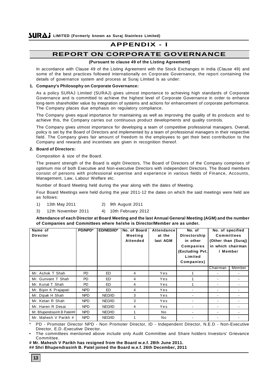# **APPENDIX - I**

# **REPORT ON CORPORATE GOVERNANCE**

### **(Pursuant to clause 49 of the Listing Agreement)**

In accordance with Clause 49 of the Listing Agreement with the Stock Exchanges in India (Clause 49) and some of the best practices followed internationally on Corporate Governance, the report containing the details of governance system and process at Suraj Limited is as under:

### **1. Company's Philosophy on Corporate Governance:**

As a policy SURAJ Limited (SURAJ) gives utmost importance to achieving high standards of Corporate Governance and is committed to achieve the highest level of Corporate Governance in order to enhance long-term shareholder value by integration of systems and actions for enhancement of corporate performance. The Company places due emphasis on regulatory compliance.

The Company gives equal importance for maintaining as well as improving the quality of its products and to achieve this, the Company carries out continuous product developments and quality controls.

The Company gives utmost importance for developing a team of competitive professional managers. Overall, policy is set by the Board of Directors and implemented by a team of professional managers in their respective field. The Company gives fair amount of freedom to the employees to get their best contribution to the Company and rewards and incentives are given in recognition thereof.

### **2. Board of Directors:**

Composition & size of the Board.

The present strength of the Board is eight Directors, The Board of Directors of the Company comprises of optimum mix of both Executive and Non-executive Directors with independent Directors. The Board members consist of persons with professional expertise and experience in various fields of Finance, Accounts, Management, Law, Labour Welfare etc.

Number of Board Meeting held during the year along with the dates of Meeting.

Four Board Meetings were held during the year 2011-12 the dates on which the said meetings were held are as follows:

- 1) 13th May 2011 2) 9th August 2011
- 3) 12th November 2011 4) 10th February 2012

**Attendance of each Director at Board Meeting and the last Annual General Meeting (AGM) and the number of Companies and Committees where he/she is Director/Member are as under.**

| Name of<br><b>Director</b>  | PD/NPD*    | ED/NED/ID* | No. of Board<br>Meeting<br>Attended | <b>Attendance</b><br>at the<br>last AGM | No. of<br>Directorship<br>in other<br>Companies<br>(Excluding Pvt.<br>Limited<br>Companies) | No. of specified<br><b>Committees</b><br>(Other than (Suraj)<br>in which chairman<br>/ Member |        |
|-----------------------------|------------|------------|-------------------------------------|-----------------------------------------|---------------------------------------------------------------------------------------------|-----------------------------------------------------------------------------------------------|--------|
|                             |            |            |                                     |                                         |                                                                                             | Chairman                                                                                      | Member |
| Mr. Ashok T Shah            | PD         | ED.        | 4                                   | Yes                                     |                                                                                             |                                                                                               |        |
| Mr. Gunvant T Shah          | PD         | ED.        | 4                                   | Yes                                     |                                                                                             |                                                                                               |        |
| Mr. Kunal T Shah            | <b>PD</b>  | ED.        | 4                                   | Yes                                     |                                                                                             |                                                                                               |        |
| Mr. Bipin K Prajapati       | NPD        | ED.        | 4                                   | Yes                                     |                                                                                             |                                                                                               |        |
| Mr. Dipak H Shah            | NPD        | NED/ID     | 3                                   | Yes                                     |                                                                                             |                                                                                               |        |
| Mr. Ketan R Shah            | NPD        | NED/ID     | 3                                   | Yes                                     |                                                                                             |                                                                                               |        |
| Mr. Haren R Desai           | NPD        | NED/ID     | 4                                   | Yes                                     |                                                                                             |                                                                                               |        |
| Mr. Bhupendrasinh B Patel## | NPD        | NED/ID     |                                     | No.                                     |                                                                                             |                                                                                               |        |
| Mr. Mahesh V Parikh #       | <b>NPD</b> | NED/ID     |                                     | No.                                     |                                                                                             |                                                                                               |        |

\* PD - Promoter Director NPD - Non Promoter Director, ID - Independent Director, N.E.D - Non-Executive Director, E.D.-Executive Director.

• The committees mentioned above include only Audit Committee and Share holders Investors' Grievance Committee.

**# Mr. Mahesh V Parikh has resigned from the Board w.e.f. 28th June 2011. ## Shri Bhupendrasinh B. Patel joined the Board w.e.f. 26th December, 2011**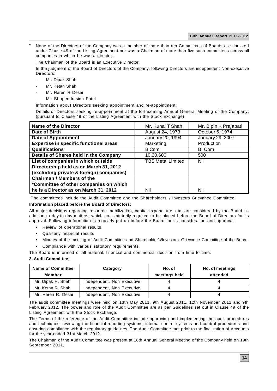None of the Directors of the Company was a member of more than ten Committees of Boards as stipulated under Clause 49 of the Listing Agreement nor was a Chairman of more than five such committees across all companies in which he was a director.

The Chairman of the Board is an Executive Director.

In the judgment of the Board of Directors of the Company, following Directors are independent Non-executive Directors:

- Mr. Dipak Shah
- Mr. Ketan Shah
- Mr. Haren R Desai
- Mr. Bhupendrasinh Patel

Information about Directors seeking appointment and re-appointment:

Details of Directors seeking re-appointment at the forthcoming Annual General Meeting of the Company; (pursuant to Clause 49 of the Listing Agreement with the Stock Exchange)

| <b>Name of the Director</b>              | Mr. Kunal T Shah         | Mr. Bipin K Prajapati |
|------------------------------------------|--------------------------|-----------------------|
| <b>Date of Birth</b>                     | August 24, 1973          | October 6, 1974       |
| <b>Date of Appointment</b>               | January 20, 1994         | January 29, 2007      |
| Expertise in specific functional areas   | Marketing                | Production            |
| <b>Qualifications</b>                    | B.Com                    | B. Com                |
| Details of Shares held in the Company    | 10,30,600                | 500                   |
| List of companies in which outside       | <b>TBS Metal Limited</b> | Nil                   |
| Directorship held as on March 31, 2012   |                          |                       |
| (excluding private & foreign) companies) |                          |                       |
| <b>Chairman / Members of the</b>         |                          |                       |
| *Committee of other companies on which   |                          |                       |
| he is a Director as on March 31, 2012    | Nil                      | Nil                   |

\*The committees include the Audit Committee and the Shareholders' / Investors Grievance Committee

### **Information placed before the Board of Directors:**

All major decisions regarding resource mobilization, capital expenditure, etc. are considered by the Board, in addition to day-to-day matters, which are statutorily required to be placed before the Board of Directors for its approval. Following information is regularly put up before the Board for its consideration and approval:

- Review of operational results
- Quarterly financial results
- Minutes of the meeting of Audit Committee and Shareholder's/Investors' Grievance Committee of the Board.
- Compliance with various statutory requirements.

The Board is informed of all material, financial and commercial decision from time to time.

### **3. Audit Committee:**

| <b>Name of Committee</b><br>Member | Category                   | No. of<br>meetings held | No. of meetings<br>attended |
|------------------------------------|----------------------------|-------------------------|-----------------------------|
| Mr. Dipak H. Shah                  | Independent, Non Executive |                         |                             |
| Mr. Ketan R. Shah                  | Independent, Non Executive |                         |                             |
| Mr. Haren R. Desai                 | Independent, Non Executive |                         |                             |

The audit committee meetings were held on 13th May 2011, 9th August 2011, 12th November 2011 and 9th February 2012. The power and role of the Audit Committee are as per Guidelines set out in Clause 49 of the Listing Agreement with the Stock Exchange.

The Terms of the reference of the Audit Committee include approving and implementing the audit procedures and techniques, reviewing the financial reporting systems, internal control systems and control procedures and ensuring compliance with the regulatory guidelines. The Audit Committee met prior to the finalization of Accounts for the year ended 31st March 2012.

The Chairman of the Audit Committee was present at 18th Annual General Meeting of the Company held on 19th September 2011.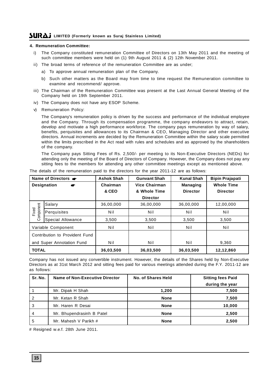### **4. Remuneration Committee:**

- i) The Company constituted remuneration Committee of Directors on 13th May 2011 and the meeting of such committee members were held on (1) 9th August 2011 & (2) 12th November 2011.
- ii) The broad terms of reference of the remuneration Committee are as under;
	- a) To approve annual remuneration plan of the Company.
	- b) Such other matters as the Board may from time to time request the Remuneration committee to examine and recommend/ approve.
- iii) The Chairman of the Remuneration Committee was present at the Last Annual General Meeting of the Company held on 19th September 2011.
- iv) The Company does not have any ESOP Scheme.
- v) Remuneration Policy:

The Company's remuneration policy is driven by the success and performance of the individual employee and the Company. Through its compensation programme, the company endeavors to attract, retain, develop and motivate a high performance workforce. The company pays remuneration by way of salary, benefits, perquisites and allowances to its Chairman & CEO, Managing Director and other executive directors. Annual increments are decided by the Remuneration Committee within the salary scale permitted within the limits prescribed in the Act read with rules and schedules and as approved by the shareholders of the company.

The Company pays Sitting Fees of Rs. 2,500/- per meeting to its Non-Executive Directors (NEDs) for attending only the meeting of the Board of Directors of Company. However, the Company does not pay any sitting fees to the members for attending any other committee meetings except as mentioned above.

| Name of Directors <b>or</b>    |                    | <b>Ashok Shah</b> | <b>Gunvant Shah</b>  | <b>Kunal Shah</b> | <b>Bipin Prajapati</b> |
|--------------------------------|--------------------|-------------------|----------------------|-------------------|------------------------|
|                                | <b>Designation</b> | Chairman          | <b>Vice Chairman</b> | <b>Managing</b>   | <b>Whole Time</b>      |
|                                |                    | & CEO             | & Whole Time         | <b>Director</b>   | <b>Director</b>        |
|                                |                    |                   | <b>Director</b>      |                   |                        |
|                                | Salary             | 36,00,000         | 36,00,000            | 36,00,000         | 12,00,000              |
| Component<br>Fixed             | Perquisites        | Nil               | Nil                  | Nil               | Nil                    |
|                                | Special Allowance  | 3,500             | 3,500                | 3,500             | 3,500                  |
|                                | Variable Component | Nil               | Nil                  | Nil               | Nil                    |
| Contribution to Provident Fund |                    |                   |                      |                   |                        |
| and Super Annotation Fund      |                    | Nil               | Nil                  | Nil               | 9,360                  |
| <b>TOTAL</b>                   |                    | 36,03,500         | 36,03,500            | 36,03,500         | 12,12,860              |

The details of the remuneration paid to the directors for the year 2011-12 are as follows:

Company has not issued any convertible instrument. However, the details of the Shares held by Non-Executive Directors as at 31st March 2012 and sitting fees paid for various meetings attended during the F.Y. 2011-12 are as follows:

| Sr. No. | Name of Non-Executive Director | No. of Shares Held | <b>Sitting fees Paid</b> |
|---------|--------------------------------|--------------------|--------------------------|
|         |                                |                    | during the year          |
|         | Mr. Dipak H Shah               | 1.200              | 7,500                    |
|         | Mr. Ketan R Shah               | <b>None</b>        | 7,500                    |
| 3       | Mr. Haren R Desai              | <b>None</b>        | 10,000                   |
|         | Mr. Bhupendrasinh B Patel      | <b>None</b>        | 2,500                    |
| 5       | Mr. Mahesh V Parikh #          | <b>None</b>        | 2,500                    |

# Resigned w.e.f. 28th June 2011.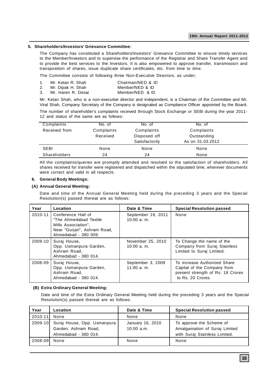### **5. Shareholders/Investors' Grievance Committee:**

The Company has constituted a Shareholders/Investors' Grievance Committee to ensure timely services to the Member/Investors and to supervise the performance of the Registrar and Share Transfer Agent and to provide the best services to the Investors. It is also empowered to approve transfer, transmission and transposition of shares, issue duplicate share certificates, etc. from time to time.

The Committee consists of following three Non-Executive Directors, as under;

|    | Mr. Ketan R. Shah  | Chairman/NED & ID |
|----|--------------------|-------------------|
| 2. | Mr. Dipak H. Shah  | Member/NED & ID   |
| 3. | Mr. Haren R. Desai | Member/NED & ID   |

Mr. Ketan Shah, who is a non-executive director and independent, is a Chairman of the Committee and Mr. Viral Shah, Company Secretary of the Company is designated as Compliance Officer appointed by the Board. The number of shareholder's complaints received through Stock Exchange or SEBI during the year 2011- 12 and status of the same are as follows:

| Complaints          | No. of     | No. of         | No. of           |  |
|---------------------|------------|----------------|------------------|--|
| Received from       | Complaints | Complaints     | Complaints       |  |
|                     | Received   | Disposed off   | Outstanding      |  |
|                     |            | Satisfactorily | As on 31.03.2012 |  |
| <b>SEBI</b>         | None       | None           | None             |  |
| <b>Shareholders</b> | 24         | 24             | None             |  |

All the complaints/queries are promptly attended and resolved to the satisfaction of shareholders. All shares received for transfer were registered and dispatched within the stipulated time, wherever documents were correct and valid in all respects.

### **6. General Body Meetings:**

### **(A) Annual General Meeting:**

Date and time of the Annual General Meeting held during the preceding 3 years and the Special Resolution(s) passed thereat are as follows:

| Year    | Location                                                                                                                    | Date & Time                         | <b>Special Resolution passed</b>                                                                                     |
|---------|-----------------------------------------------------------------------------------------------------------------------------|-------------------------------------|----------------------------------------------------------------------------------------------------------------------|
| 2010-11 | Conference Hall of<br>"The Ahmedabad Textile<br>Mills Association",<br>Near "Gurjari", Ashram Road,<br>Ahmedabad - 380 009. | September 19, 2011<br>$10:00a$ . m. | None                                                                                                                 |
| 2009-10 | Suraj House,<br>Opp. Usmanpura Garden,<br>Ashram Road.<br>Ahmedabad - 380 014.                                              | November 25, 2010<br>$10:00a$ . m.  | To Change the name of the<br>Company from Suraj Stainless<br>Limited to Suraj Limited.                               |
| 2008-09 | Suraj House,<br>Opp. Usmanpura Garden,<br>Ashram Road.<br>Ahmedabad - 380 014.                                              | September 3, 2009<br>$11:00a$ . m.  | To increase Authorized Share<br>Capital of the Company from<br>present strength of Rs. 18 Crores<br>to Rs. 20 Crores |

### **(B) Extra Ordinary General Meeting:**

Date and time of the Extra Ordinary General Meeting held during the preceding 3 years and the Special Resolution(s) passed thereat are as follows:

| Year    | Location                                                                            | Date & Time                      | <b>Special Resolution passed</b>                                                           |
|---------|-------------------------------------------------------------------------------------|----------------------------------|--------------------------------------------------------------------------------------------|
| 2010-11 | None                                                                                | None                             | None                                                                                       |
|         | 2009-10 Suraj House, Opp. Usmanpura<br>Garden, Ashram Road,<br>Ahmedabad - 380 014. | January 16, 2010<br>$10:00$ a.m. | To approve the Scheme of<br>Amalgamation of Suraj Limited<br>with Suraj Stainless Limited. |
| 2008-09 | None                                                                                | None                             | None                                                                                       |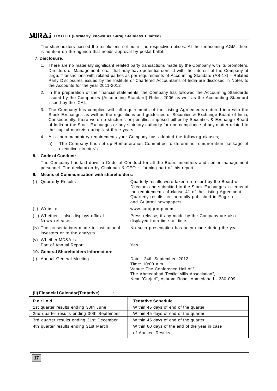The shareholders passed the resolutions set out in the respective notices. At the forthcoming AGM, there is no item on the agenda that needs approval by postal ballot.

### **7. Disclosure:**

- 1. There are no materially significant related party transactions made by the Company with its promoters, Directors or Management, etc., that may have potential conflict with the interest of the Company at large. Transactions with related parties as per requirements of Accounting Standard (AS-18) - 'Related Party Disclosures' issued by the Institute of Chartered Accountants of India are disclosed in Notes to the Accounts for the year 2011-2012
- 2. In the preparation of the financial statements, the Company has followed the Accounting Standards issued by the Companies (Accounting Standard) Rules, 2006 as well as the Accounting Standard issued by the ICAI.
- 3. The Company has complied with all requirements of the Listing Agreements entered into with the Stock Exchanges as well as the regulations and guidelines of Securities & Exchange Board of India, Consequently, there were no strictures or penalties imposed either by Securities & Exchange Board of India or the Stock Exchanges or any statutory authority for non-compliance of any matter related to the capital markets during last three years.
- 4. As a non-mandatory requirements your Company has adopted the following clauses;
	- a) The Company has set up Remuneration Committee to determine remuneration package of executive director/s.

### **8. Code of Conduct:**

The Company has laid down a Code of Conduct for all the Board members and senior management personnel. The declaration by Chairman & CEO is forming part of this report.

### **9. Means of Communication with shareholders:**

| (i) Quarterly Results                                                         | Quarterly results were taken on record by the Board of<br>Directors and submitted to the Stock Exchanges in terms of<br>the requirements of clause 41 of the Listing Agreement.<br>Quarterly results are normally published in English<br>and Gujarati newspapers. |
|-------------------------------------------------------------------------------|--------------------------------------------------------------------------------------------------------------------------------------------------------------------------------------------------------------------------------------------------------------------|
| (ii) Website                                                                  | www.surajgroup.com                                                                                                                                                                                                                                                 |
| (iii) Whether it also displays official<br>News releases                      | Press release, if any made by the Company are also<br>displayed from time to time.                                                                                                                                                                                 |
| (iv) The presentations made to institutional:<br>investors or to the analysts | No such presentation has been made during the year.                                                                                                                                                                                                                |
| (v) Whether MD&A is<br>Part of Annual Report                                  | Yes                                                                                                                                                                                                                                                                |
| 10. General Shareholders Information:                                         |                                                                                                                                                                                                                                                                    |
| (i) Annual General Meeting                                                    | Date: 24th September, 2012<br>Time: 10:00 a.m.<br>Venue: The Conference Hall of "<br>The Ahmedabad Textile Mills Association",<br>Near "Guriari", Ashram Road, Ahmedabad - 380 009                                                                                 |

### **(ii) Financial Calendar(Tentative) :**

| Period                                    | <b>Tentative Schedule</b>                                            |
|-------------------------------------------|----------------------------------------------------------------------|
| 1st quarter results ending 30th June      | Within 45 days of end of the quarter                                 |
| 2nd quarter results ending 30th September | Within 45 days of end of the quarter                                 |
| 3rd quarter results ending 31st December  | Within 45 days of end of the quarter                                 |
| 4th quarter results ending 31st March     | Within 60 days of the end of the year in case<br>of Audited Results. |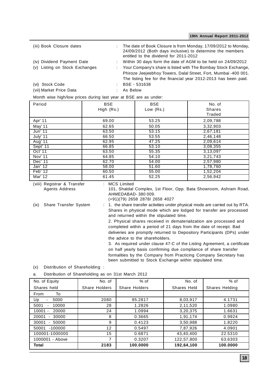| (iii) Book Closure dates                                     | The date of Book Closure is from Monday, 17/09/2012 to Monday,<br>24/09/2012 (Both days inclusive) to determine the members<br>entitled to the dividend for 2011-2012 |
|--------------------------------------------------------------|-----------------------------------------------------------------------------------------------------------------------------------------------------------------------|
| (iv) Dividend Payment Date<br>(v) Listing on Stock Exchanges | : Within 30 days form the date of AGM to be held on $24/09/2012$<br>: Your Company's share is listed with The Bombay Stock Exchange,                                  |
|                                                              | Phiroze Jeejeebhoy Towers, Dalal Street, Fort, Mumbai -400 001.<br>The listing fee for the financial year 2012-2013 has been paid.                                    |
| (vi) Stock Code                                              | BSE - 531638                                                                                                                                                          |
| (vii) Market Price Data                                      | As Below                                                                                                                                                              |

Month wise high/low prices during last year at BSE are as under:

| Period   | <b>BSE</b><br>High (Rs.) | <b>BSE</b><br>Low (Rs.) | No. of<br><b>Shares</b><br>Traded |
|----------|--------------------------|-------------------------|-----------------------------------|
| Apr' 11  | 69.00                    | 53.25                   | 2,09,788                          |
| May' 11  | 62.65                    | 50.05                   | 3,32,903                          |
| Jun' 11  | 63.50                    | 53.15                   | 2,67,181                          |
| July' 11 | 66.50                    | 53.55                   | 2,46,148                          |
| Aug' 11  | 62.95                    | 47.25                   | 2,09,614                          |
| Sept' 11 | 66.85                    | 53.10                   | 3,08,355                          |
| Oct' 11  | 63.50                    | 55.35                   | 3,13,097                          |
| Nov' 11  | 64.85                    | 54.10                   | 3,21,743                          |
| Dec' 11  | 62.70                    | 54.00                   | 2,57,980                          |
| Jan' 12  | 58.00                    | 51.60                   | 1,78,760                          |
| Feb' 12  | 60.50                    | 55.00                   | 1,52,204                          |
| Mar' 12  | 61.45                    | 52.25                   | 2,56,942                          |

(viii) Registrar & Transfer : MCS Limited

Agents Address 101, Shatdal Complex, 1st Floor, Opp. Bata Showroom, Ashram Road, AHMEDABAD- 380 009. (+91)(79) 2658 2878/ 2658 4027

(ix) Share Transfer System : 1. the share transfer activities under physical mode are carried out by RTA. Shares in physical mode which are lodged for transfer are processed and returned within the stipulated time.

2. Physical shares received in dematerialization are processed and completed within a period of 21 days from the date of receipt. Bad deliveries are promptly returned to Depository Participants (DPs) under the advice to the shareholders.

3. As required under clause 47-C of the Listing Agreement, a certificate on half yearly basis confirming due compliance of share transfer formalities by the Company from Practicing Company Secretary has been submitted to Stock Exchange within stipulated time.

(x) Distribution of Shareholding :

a. Distribution of Shareholding as on 31st March 2012

| No. of Equity      | No. of               | $%$ of        | No. of      | $%$ of         |
|--------------------|----------------------|---------------|-------------|----------------|
| Shares held        | <b>Share Holders</b> | Share Holders | Shares Held | Shares Helding |
| То<br>From         |                      |               |             |                |
| Up<br>5000         | 2080                 | 95.2817       | 8,03,917    | 4.1731         |
| 5001<br>10000      | 28                   | 1.2826        | 2,11,520    | 1.0980         |
| $10001 -$<br>20000 | 24                   | 1.0994        | 3,20,375    | 1.6631         |
| 20001<br>30000     | 8                    | 0.3665        | 1,91,174    | 0.9924         |
| 30001<br>50000     | 9                    | 0.4123        | 3,50,988    | 1.8220         |
| $-100000$<br>50001 | 12                   | 0.5497        | 7,87,926    | 4.0901         |
| 100001-1000000     | 15                   | 0.6871        | 43,40,400   | 22.5310        |
| 1000001 - Above    | 7                    | 0.3207        | 122,57,800  | 63.6303        |
| Total              | 2183                 | 100.0000      | 192,64,100  | 100.0000       |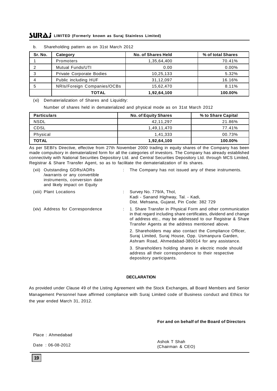| Sr. No. | Category                        | No. of Shares Held | % of total Shares |
|---------|---------------------------------|--------------------|-------------------|
|         | <b>Promoters</b>                | 1,35,64,400        | 70.41%            |
|         | Mutual Funds/UTI                | 0.00               | $0.00\%$          |
|         | <b>Private Corporate Bodies</b> | 10,25,133          | 5.32%             |
|         | Public including HUF            | 31,12,097          | 16.16%            |
|         | NRIs/Foreign Companies/OCBs     | 15,62,470          | 8.11%             |
|         | TOTAL                           | 1,92,64,100        | 100.00%           |

b. Shareholding pattern as on 31st March 2012

(xi) Dematerialization of Shares and Liquidity:

Number of shares held in dematerialized and physical mode as on 31st March 2012

| <b>Particulars</b> | <b>No. of Equity Shares</b> | % to Share Capital |
|--------------------|-----------------------------|--------------------|
| <b>NSDL</b>        | 42,11,297                   | 21.86%             |
| <b>CDSL</b>        | 1.49.11.470                 | 77.41%             |
| Physical           | 1,41,333                    | 00.73%             |
| TOTAL              | 1,92,64,100                 | 100.00%            |

As per SEBI's Directive, effective from 27th November 2000 trading in equity shares of the Company has been made compulsory in dematerialized form for all the categories of investors. The Company has already established connectivity with National Securities Depository Ltd. and Central Securities Depository Ltd. through MCS Limited, Registrar & Share Transfer Agent, so as to facilitate the dematerialization of its shares.

| Outstanding GDRs/ADRs<br>(xii)<br>/warrants or any convertible<br>instruments, conversion date<br>and likely impact on Equity | : The Company has not issued any of these instruments.                                                                                                                                                                                            |
|-------------------------------------------------------------------------------------------------------------------------------|---------------------------------------------------------------------------------------------------------------------------------------------------------------------------------------------------------------------------------------------------|
| (xiii) Plant Locations                                                                                                        | Survey No. 779/A, Thol,<br>Kadi - Sanand Highway, Tal. - Kadi,<br>Dist. Mehsana, Gujarat, Pin Code: 382 729                                                                                                                                       |
| (xiv) Address for Correspondence                                                                                              | : 1. Share Transfer in Physical Form and other communication<br>in that regard including share certificates, dividend and change<br>of address etc., may be addressed to our Registrar & Share<br>Transfer Agents at the address mentioned above. |
|                                                                                                                               | 2. Shareholders may also contact the Compliance Officer,<br>Suraj Limited, Suraj House, Opp. Usmanpura Garden,<br>Ashram Road, Ahmedabad-380014 for any assistance.                                                                               |
|                                                                                                                               | 3. Shareholders holding shares in electric mode should<br>address all their correspondence to their respective<br>depository participants.                                                                                                        |
|                                                                                                                               |                                                                                                                                                                                                                                                   |

### **DECLARATION**

As provided under Clause 49 of the Listing Agreement with the Stock Exchanges, all Board Members and Senior Management Personnel have affirmed compliance with Suraj Limited code of Business conduct and Ethics for the year ended March 31, 2012.

### **For and on behalf of the Board of Directors**

Place : Ahmedabad

Date : 06-08-2012

Ashok T Shah (Chairman & CEO)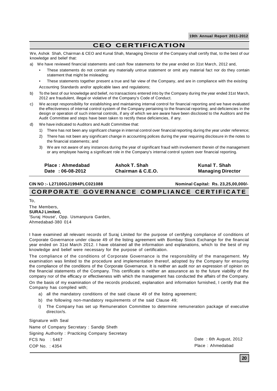# **CEO CERTIFICATION**

We, Ashok Shah, Chairman & CEO and Kunal Shah, Managing Director of the Company shall certify that, to the best of our knowledge and belief that:

- a) We have reviewed financial statements and cash flow statements for the year ended on 31st March, 2012 and,
	- These statements do not contain any materially untrue statement or omit any material fact nor do they contain statement that might be misleading:
	- These statements together present a true and fair view of the Company, and are in compliance with the existing Accounting Standards and/or applicable laws and regulations;
- b) To the best of our knowledge and belief, no transactions entered into by the Company during the year ended 31st March, 2012 are fraudulent, illegal or violative of the Company's Code of Conduct.
- c) We accept responsibility for establishing and maintaining internal control for financial reporting and we have evaluated the effectiveness of internal control system of the Company pertaining to the financial reporting; and deficiencies in the design or operation of such internal controls, if any of which we are aware have been disclosed to the Auditors and the Audit Committee and steps have been taken to rectify these deficiencies, if any.
- d) We have indicated to Auditors and Audit Committee that:
	- 1) There has not been any significant change in internal control over financial reporting during the year under reference;
	- 2) There has not been any significant change in accounting polices during the year requiring disclosure in the notes to the financial statements; and
	- 3) We are not aware of any instances during the year of significant fraud with involvement therein of the management or any employee having a significant role in the Company's internal control system over financial reporting.

| Place: Ahmedabad | Ashok T. Shah     | Kunal T. Shah            |
|------------------|-------------------|--------------------------|
| Date: 06-08-2012 | Chairman & C.E.O. | <b>Managing Director</b> |

**CIN NO :- L27100GJ1994PLC021088 Nominal Capital: Rs. 23,25,00,000/-**

### **CORPORATE GOVERNANCE COMPLIANCE CERTIFICATE**

To,

The Members, **SURAJ Limited,** 'Suraj House', Opp. Usmanpura Garden, Ahmedabad-380 014

I have examined all relevant records of Suraj Limited for the purpose of certifying compliance of conditions of Corporate Governance under clause 49 of the listing agreement with Bombay Stock Exchange for the financial year ended on 31st March 2012. I have obtained all the information and explanations, which to the best of my knowledge and belief were necessary for the purpose of certification.

The compliance of the conditions of Corporate Governance is the responsibility of the management. My examination was limited to the procedure and implementation thereof, adopted by the Company for ensuring the compliance of the conditions of the Corporate Governance. It is neither an audit nor an expression of opinion on the financial statements of the Company. This certificate is neither an assurance as to the future viability of the company nor of the efficacy or effectiveness with which the management has conducted the affairs of the Company.

On the basis of my examination of the records produced, explanation and information furnished, I certify that the Company has complied with;

- a) all the mandatory conditions of the said clause 49 of the listing agreement;
- b) the following non-mandatory requirements of the said Clause 49;
- i) The Company has set up Remuneration Committee to determine remuneration package of executive director/s.

Signature with Seal

Name of Company Secretary : Sandip Sheth Signing Authority : Practicing Company Secretary FCS No : 5467 COP No. : 4354

Date : 6th August, 2012 Place : Ahmedabad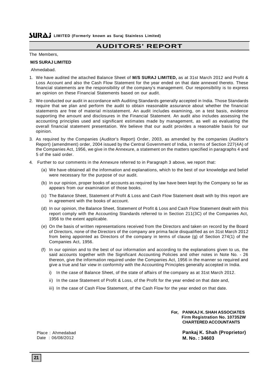# **AUDITORS' REPORT**

The Members,

### **M/S SURAJ LIMITED**

Ahmedabad.

- 1. We have audited the attached Balance Sheet of **M/S SURAJ LIMITED,** as at 31st March 2012 and Profit & Loss Account and also the Cash Flow Statement for the year ended on that date annexed thereto. These financial statements are the responsibility of the company's management. Our responsibility is to express an opinion on these Financial Statements based on our audit.
- 2. We conducted our audit in accordance with Auditing Standards generally accepted in India. Those Standards require that we plan and perform the audit to obtain reasonable assurance about whether the financial statements are free of material misstatement. An audit includes examining, on a test basis, evidence supporting the amount and disclosures in the Financial Statement. An audit also includes assessing the accounting principles used and significant estimates made by management, as well as evaluating the overall financial statement presentation. We believe that our audit provides a reasonable basis for our opinion.
- 3. As required by the Companies (Auditor's Report) Order, 2003, as amended by the companies (Auditor's Report) (amendment) order, 2004 issued by the Central Government of India, in terms of Section 227(4A) of the Companies Act, 1956, we give in the Annexure, a statement on the matters specified in paragraphs 4 and 5 of the said order.
- 4. Further to our comments in the Annexure referred to in Paragraph 3 above, we report that:
	- (a) We have obtained all the information and explanations, which to the best of our knowledge and belief were necessary for the purpose of our audit.
	- (b) In our opinion, proper books of accounts as required by law have been kept by the Company so far as appears from our examination of those books.
	- (c) The Balance Sheet, Statement of Profit & Loss and Cash Flow Statement dealt with by this report are in agreement with the books of account.
	- (d) In our opinion, the Balance Sheet, Statement of Profit & Loss and Cash Flow Statement dealt with this report comply with the Accounting Standards referred to in Section 211(3C) of the Companies Act, 1956 to the extent applicable.
	- (e) On the basis of written representations received from the Directors and taken on record by the Board of Directors, none of the Directors of the company are prima facie disqualified as on 31st March 2012 from being appointed as Directors of the company in terms of clause (g) of Section 274(1) of the Companies Act, 1956.
	- (f) In our opinion and to the best of our information and according to the explanations given to us, the said accounts together with the Significant Accounting Policies and other notes in Note No. - 26 thereon, give the information required under the Companies Act, 1956 in the manner so required and give a true and fair view in conformity with the Accounting Principles generally accepted in India.
		- i) In the case of Balance Sheet, of the state of affairs of the company as at 31st March 2012.
		- ii) In the case Statement of Profit & Loss, of the Profit for the year ended on that date and,
		- iii) In the case of Cash Flow Statement, of the Cash Flow for the year ended on that date.

**For, PANKAJ K. SHAH ASSOCIATES Firm Registration No. 107352W CHARTERED ACCOUNTANTS**

> **Pankaj K. Shah (Proprietor) M. No. : 34603**

Place : Ahmedabad Date : 06/08/2012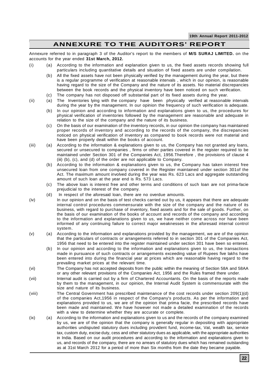# **ANNEXURE TO THE AUDITORS' REPORT**

Annexure referred to in paragraph 3 of the Auditor's report to the members of **M/S SURAJ LIMITED.** on the accounts for the year ended **31st March, 2012.**

- (i) (a) According to the information and explanation given to us, the fixed assets records showing full particulars including quantitative details and situation of fixed assets are under compilation.
	- (b) All the fixed assets have not been physically verified by the management during the year, but there is a regular programme of verification at reasonable intervals , which in our opinion, is reasonable having regard to the size of the Company and the nature of its assets. No material discrepancies between the book records and the physical inventory have been noticed on such verification.
	- (c) The company has not disposed off substantial part of its fixed assets during the year.
- (ii) (a) The Inventories lying with the company have been physically verified at reasonable intervals during the year by the management. In our opinion the frequency of such verification is adequate.
	- (b) In our opinion and according to information and explanations given to us, the procedures for physical verification of inventories followed by the management are reasonable and adequate in relation to the size of the company and the nature of its business.
	- (c) On the basis of our examination of the inventory records, in our opinion the company has maintained proper records of inventory and according to the records of the company, the discrepancies noticed on physical verification of inventory as compared to book records were not material and have been properly dealt within the books of account.
- (iii) (a) According to the information & explanations given to us, the Company has not granted any loans, secured or unsecured to companies , firms or other parties covered in the register required to be maintained under Section 301 of the Companies Act, 1956.Therefore , the provisions of clause 4 (iii) (b), (c), and (d) of the order are not applicable to Company.
	- (b) According to the information & explanations given to us, the Company has taken interest free unsecured loan from one company covered in the Register maintained under section 301of the Act. The maximum amount involved during the year was Rs. 623 Lacs and aggregate outstanding amount of such loan at the year end is Rs. 573 Lacs.
	- (c) The above loan is interest free and other terms and conditions of such loan are not prima-facie prejudicial to the interest of the company.
	- (d) In respect of the aforesaid loan, there are no overdue amounts.
- (iv) In our opinion and on the basis of test checks carried out by us, it appears that there are adequate internal control procedures commensurate with the size of the company and the nature of its business, with regard to purchase of inventory, fixed assets and for the sale of goods. Further, on the basis of our examination of the books of account and records of the company and according to the information and explanations given to us, we have neither come across nor have been informed of any continuing failure to correct major weaknesses in the aforesaid internal control system.
- (v) (a) According to the information and explanations provided by the management, we are of the opinion that the particulars of contracts or arrangements referred to in section 301 of the Companies Act, 1956 that need to be entered into the register maintained under section 301 have been so entered.
	- (b) In our opinion and according to the information and explanations given to us, the transactions made in pursuance of such contracts or arrangements exceeding value of Rupees five lakhs have been entered into during the financial year at prices which are reasonable having regard to the prevailing market prices at the relevant time.
- (vi) The Company has not accepted deposits from the public within the meaning of Section 58A and 58AA or any other relevant provisions of the Companies Act, 1956 and the Rules framed there under.
- (vii) Internal audit is carried out by a firm of Chartered Accountants. On the basis of the reports made by them to the management, in our opinion, the Internal Audit System is commensurate with the size and nature of its business.
- (viii) The Central Government has prescribed maintenance of the cost records under section 209(1)(d) of the companies Act,1956 in respect of the Company's products. As per the information and explanations provided to us, we are of the opinion that prima facie, the prescribed records have been made and maintained. We have however not made a detailed examination of the records with a view to determine whether they are accurate or complete.
- (ix) (a) According to the information and explanations given to us and the records of the company examined by us, we are of the opinion that the company is generally regular in depositing with appropriate authorities undisputed statutory dues including provident fund, income-tax, Vat, wealth tax, service tax, custom duty, excise duty, cess and other statutory dues as applicable, with the appropriate authorities in India. Based on our audit procedures and according to the information and explanations given to us, and records of the company, there are no arrears of statutory dues which has remained outstanding as at 31st March 2012 for a period of more than Six months from the date they became payable.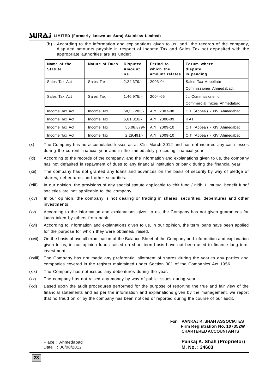(b) According to the information and explanations given to us, and the records of the company, disputed amounts payable in respect of Income Tax and Sales Tax not deposited with the appropriate authorities are as under:

| Name of the<br><b>Statute</b> | <b>Nature of Dues</b> | <b>Disputed</b><br>Amount<br>Rs. | Period to<br>which the<br>amount relates | Forum where<br>dispute<br>is pending |
|-------------------------------|-----------------------|----------------------------------|------------------------------------------|--------------------------------------|
| Sales Tax Act                 | Sales Tax             | 2,24,379/                        | 2003-04                                  | Sales Tax Appellate                  |
|                               |                       |                                  |                                          | Commissioner Ahmedabad.              |
| Sales Tax Act                 | Sales Tax             | $1,40,975/-$                     | 2004-05                                  | Jt. Commissioner of                  |
|                               |                       |                                  |                                          | Commercial Taxes Ahmedabad.          |
| Income Tax Act                | Income Tax            | 68, 35, 283/-                    | A.Y. 2007-08                             | CIT (Appeal) - XIV Ahmedabad         |
| Income Tax Act                | Income Tax            | $6,81,310/-$                     | A.Y. 2008-09                             | <b>ITAT</b>                          |
| Income Tax Act                | Income Tax            | 56,06,879/-                      | A.Y. 2009-10                             | CIT (Appeal) - XIV Ahmedabad         |
| Income Tax Act                | Income Tax            | $2,29,491/-$                     | A.Y. 2009-10                             | CIT (Appeal) - XIV Ahmedabad         |

- (x) The Company has no accumulated losses as at 31st March 2012 and has not incurred any cash losses during the current financial year and in the immediately preceding financial year.
- (xi) According to the records of the company, and the information and explanations given to us, the company has not defaulted in repayment of dues to any financial institution or bank during the financial year.
- (xii) The company has not granted any loans and advances on the basis of security by way of pledge of shares, debentures and other securities.
- (xiii) In our opinion, the provisions of any special statute applicable to chit fund / nidhi / mutual benefit fund/ societies are not applicable to the company.
- (xiv) In our opinion, the company is not dealing or trading in shares, securities, debentures and other investments.
- (xv) According to the information and explanations given to us, the Company has not given guarantees for loans taken by others from bank.
- (xvi) According to information and explanations given to us, in our opinion, the term loans have been applied for the purpose for which they were obtained/ raised.
- (xvii) On the basis of overall examination of the Balance Sheet of the Company and information and explanation given to us, in our opinion funds raised on short term basis have not been used to finance long term investment.
- (xviii) The Company has not made any preferential allotment of shares during the year to any parties and companies covered in the register maintained under Section 301 of the Companies Act 1956.
- (xix) The Company has not issued any debentures during the year.
- (xx) The company has not raised any money by way of public issues during year.
- (xxi) Based upon the audit procedures performed for the purpose of reporting the true and fair view of the financial statements and as per the information and explanations given by the management, we report that no fraud on or by the company has been noticed or reported during the course of our audit.

### **For, PANKAJ K. SHAH ASSOCIATES Firm Registration No. 107352W CHARTERED ACCOUNTANTS**

**Pankaj K. Shah (Proprietor) M. No. : 34603**

Place : Ahmedabad Date : 06/08/2012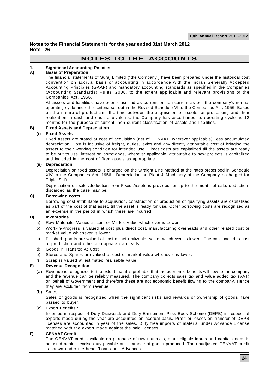**Notes to the Financial Statements for the year ended 31st March 2012 Note - 26**

# **NOTES TO THE ACCOUNTS**

### **1. Significant Accounting Policies**

### **A) Basis of Preparation**

The financial statements of Suraj Limited ("the Company") have been prepared under the historical cost convention on accrual basis of accounting in accordance with the Indian Generally Accepted Accounting Principles (GAAP) and mandatory accounting standards as specified in the Companies (Accounting Standards) Rules, 2006, to the extent applicable and relevant provisions of the Companies Act, 1956.

All assets and liabilities have been classified as current or non-current as per the company's normal operating cycle and other criteria set out in the Revised Schedule VI to the Companies Act, 1956. Based on the nature of product and the time between the acquisition of assets for processing and their realization in cash and cash equivalents, the Company has ascertained its operating cycle as 12 months for the purpose of current -non current classification of assets and liabilities.

### **B) Fixed Assets and Depreciation**

### **(i) Fixed Assets**

Fixed assets are stated at cost of acquisition (net of CENVAT, wherever applicable), less accumulated depreciation. Cost is inclusive of freight, duties, levies and any directly attributable cost of bringing the assets to their working condition for intended use. Direct costs are capitalized till the assets are ready to be put to use. Interest on borrowings, wherever applicable, attributable to new projects is capitalized and included in the cost of fixed assets as appropriate.

### **(ii) Depreciation**

Depreciation on fixed assets is charged on the Straight Line Method at the rates prescribed in Schedule XIV to the Companies Act, 1956. Depreciation on Plant & Machinery of the Company is charged for Triple Shift.

Depreciation on sale /deduction from Fixed Assets is provided for up to the month of sale, deduction, discarded as the case may be.

### **C) Borrowing costs**

Borrowing cost attributable to acquisition, construction or production of qualifying assets are capitalised as part of the cost of that asset, till the asset is ready for use. Other borrowing costs are recognized as an expense in the period in which these are incurred.

### **D) Inventories**

- a) Raw Materials: Valued at cost or Market Value which ever is Lower.
- b) Work-in-Progress is valued at cost plus direct cost, manufacturing overheads and other related cost or market value whichever is lower.
- c) Finished goods are valued at cost or net realizable value whichever is lower. The cost includes cost of production and other appropriate overheads.
- d) Goods in Transits: At Cost.
- e) Stores and Spares are valued at cost or market value whichever is lower.
- Scrap is valued at estimated realisable value.

### **E) Revenue Recognition**

(a) Revenue is recognized to the extent that it is probable that the economic benefits will flow to the company and the revenue can be reliably measured. The company collects sales tax and value added tax (VAT) on behalf of Government and therefore these are not economic benefit flowing to the company. Hence they are excluded from revenue.

### (b) Sales:

Sales of goods is recognized when the significant risks and rewards of ownership of goods have passed to buyer.

### (c) Export Benefits :

Incomes in respect of Duty Drawback and Duty Entitlement Pass Book Scheme (DEPB) in respect of exports made during the year are accounted on accrual basis. Profit or losses on transfer of DEPB licenses are accounted in year of the sales. Duty free imports of material under Advance License matched with the export made against the said licenses.

### **F) CENVAT Credit**

The CENVAT credit available on purchase of raw materials, other eligible inputs and capital goods is adjusted against excise duty payable on clearance of goods produced. The unadjusted CENVAT credit is shown under the head "Loans and Advances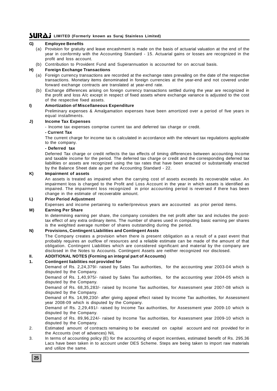### **G) Employee Benefits**

- (a) Provision for gratuity and leave encashment is made on the basis of actuarial valuation at the end of the year in conformity with the Accounting Standard - 15. Actuarial gains or losses are recognized in the profit and loss account.
- (b) Contribution to Provident Fund and Superannuation is accounted for on accrual basis.

### **H) Foreign Exchange Transactions**

- (a) Foreign currency transactions are recorded at the exchange rates prevailing on the date of the respective transactions. Monetary items denominated in foreign currencies at the year-end and not covered under forward exchange contracts are translated at year-end rate.
- (b) Exchange differences arising on foreign currency transactions settled during the year are recognized in the profit and loss A/c except in respect of fixed assets where exchange variance is adjusted to the cost of the respective fixed assets.

### **I) Amortization of Miscellaneous Expenditure**

Preliminary expenses & Amalgamation expenses have been amortized over a period of five years in equal installments.

### **J) Income Tax Expenses**

- Income tax expenses comprise current tax and deferred tax charge or credit.

### **- Current Tax**

The current charge for income tax is calculated in accordance with the relevant tax regulations applicable to the company.

### **- Deferred tax**

Deferred Tax charge or credit reflects the tax effects of timing differences between accounting Income and taxable income for the period. The deferred tax charge or credit and the corresponding deferred tax liabilities or assets are recognized using the tax rates that have been enacted or substantially enacted by the Balance Sheet date as per the Accounting Standard - 22.

### **K) Impairment of assets**

An assets is treated as impaired when the carrying cost of assets exceeds its recoverable value. An impairment loss is charged to the Profit and Loss Account in the year in which assets is identified as impaired. The impairment loss recognized in prior accounting period is reversed if there has been change in the estimate of recoverable amount.

### **L) Prior Period Adjustment**

Expenses and income pertaining to earlier/previous years are accounted as prior period items.

### **M) Earning Per Share**

In determining earning per share, the company considers the net profit after tax and includes the posttax effect of any extra ordinary items. The number of shares used in computing basic earning per shares is the weighted average number of shares outstanding during the period.

### **N) Provisions, Contingent Liabilities and Contingent Assts**

The Company creates a provision when there is present obligation as a result of a past event that probably requires an outflow of resources and a reliable estimate can be made of the amount of that obligation. Contingent Liabilities which are considered significant and material by the company are disclosed in the Notes to Accounts. Contingent Assets are neither recognized nor disclosed.

### **II. ADDITIONAL NOTES (Forming an integral part of Accounts)**

### **1. Contingent liabilities not provided for**

Demand of Rs. 2,24,379/- raised by Sales Tax authorities, for the accounting year 2003-04 which is disputed by the Company.

Demand of Rs. 1,40,975/- raised by Sales Tax authorities, for the accounting year 2004-05 which is disputed by the Company.

Demand of Rs. 68,35,283/- raised by Income Tax authorities, for Assessment year 2007-08 which is disputed by the Company.

Demand of Rs. 14,99,230/- after giving appeal effect raised by Income Tax authorities, for Assessment year 2008-09 which is disputed by the Company.

Demand of Rs. 2,29,491/- raised by Income Tax authorities, for Assessment year 2009-10 which is disputed by the Company.

Demand of Rs. 89,96,224/- raised by Income Tax authorities, for Assessment year 2009-10 which is disputed by the Company.

- 2. Estimated amount of contracts remaining to be executed on capital account and not provided for in the Accounts (net of advances) NIL
- 3. In terms of accounting policy (E) for the accounting of export incentives, estimated benefit of Rs. 295.36 Lacs have been taken in to account under DES Scheme. Steps are being taken to import raw materials and utilize the same.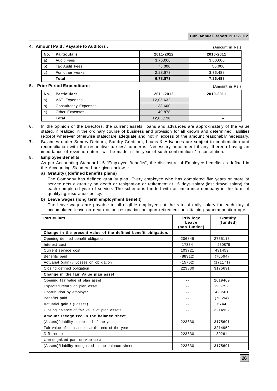(Amount in Rs.)

### **4. Amount Paid / Payable to Auditors :**

| $19911111$ and $11$ a $1991010$ to $1100110010$ to |           | (AMOUNT IN RS.) |
|----------------------------------------------------|-----------|-----------------|
| <b>Particulars</b>                                 | 2011-2012 | 2010-2011       |
| Audit Fees                                         | 3,75,000  | 3,00,000        |
| Tax Audit Fees                                     | 75,000    | 50.000          |
| For other works                                    | 2,28,873  | 3,76,488        |
| Total                                              | 6,78,873  | 7,26,488        |
|                                                    |           |                 |

### **5. Prior Period Expenditure:**

| ior Period Expenditure: |                             |           | (Amount in Rs.) |
|-------------------------|-----------------------------|-----------|-----------------|
| No.                     | <b>Particulars</b>          | 2011-2012 | 2010-2011       |
| a)                      | VAT Expenses                | 12,05,632 | $- -$           |
| b)                      | <b>Consultancy Expenses</b> | 38,600    | $-$             |
| $\mathsf{c}$ )          | Other Expenses              | 40,878    | $-$             |
|                         | Total                       | 12,85,110 | $- -$           |

- **6.** In the opinion of the Directors, the current assets, loans and advances are approximately of the value stated, if realized in the ordinary course of business and provision for all known and determined liabilities (except wherever otherwise stated)are adequate and not in excess of the amount reasonably necessary.
- **7.** Balances under Sundry Debtors, Sundry Creditors, Loans & Advances are subject to confirmation and reconciliation with the respective parties/ concerns. Necessary adjustment if any, thereon having an importance of revenue nature, will be made in the year of such confirmation / reconciliation.

### **8. Employee Benefits**

As per Accounting Standard 15 "Employee Benefits", the disclosure of Employee benefits as defined in the Accounting Slandered are given below. :

### **a) Gratuity ( (defined benefits plans)**

The Company has defined gratuity plan. Every employee who has completed five years or more of service gets a gratuity on death or resignation or retirement at 15 days salary (last drawn salary) for each completed year of service. The scheme is funded with an insurance company in the form of qualifying insurance policy.

### **b) Leave wages (long term employment benefit)**

The leave wages are payable to all eligible employees at the rate of daily salary for each day of accumulated leave on death or on resignation or upon retirement on attaining superannuation age.

| <b>Particulars</b>                                             | <b>Privilege</b><br>Leave<br>(non funded) | Gratuity<br>(funded) |
|----------------------------------------------------------------|-------------------------------------------|----------------------|
| Change in the present value of the defined benefit obligation. |                                           |                      |
| Opening defined benefit obligation                             | 206849                                    | 2755118              |
| Interest cost                                                  | 17334                                     | 230879               |
| Current service cost                                           | 103721                                    | 431459               |
| Benefits paid                                                  | (88312)                                   | (70594)              |
| Actuarial (gain) / Losses on obligation                        | (15762)                                   | (171171)             |
| Closing defined obligation                                     | 223830                                    | 3175691              |
| Change in the fair Value plan asset                            |                                           |                      |
| Opening fair value of plan asset                               | $-$                                       | 2619469              |
| Expected return on plan asset                                  | $ -$                                      | 235752               |
| Contribution by employer                                       |                                           | 423581               |
| Benefits paid                                                  | --                                        | (70594)              |
| Actuarial gain / (Losses)                                      | $-$                                       | 6744                 |
| Closing balance of fair value of plan assets                   | $-$                                       | 3214952              |
| Amount recognized in the balance sheet                         |                                           |                      |
| (Assets)/Liability at the end of the year                      | 223830                                    | 3175691              |
| Fair value of plan assets at the end of the year               | $-$                                       | 3214952              |
| Difference                                                     | 223830                                    | 39261                |
| Unrecognized past service cost                                 | $- -$                                     | $- -$                |
| (Assets)/Liability recognized in the balance sheet             | 223830                                    | 3175691              |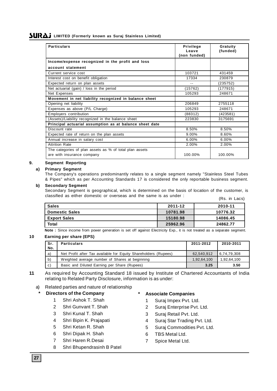| <b>Particulars</b>                                      | Privilege<br>Leave<br>(non funded) | Gratuity<br>(funded) |  |
|---------------------------------------------------------|------------------------------------|----------------------|--|
| Income/expense recognized in the profit and loss        |                                    |                      |  |
| account statement                                       |                                    |                      |  |
| Current service cost                                    | 103721                             | 431459               |  |
| Interest cost on benefit obligation                     | 17334                              | 230879               |  |
| Expected return on plan assets                          | --                                 | (235752)             |  |
| Net actuarial (gain) / loss in the period               | (15762)                            | (177915)             |  |
| Net Expenses                                            | 105293                             | 248671               |  |
| Movement in net liability recognized in balance sheet   |                                    |                      |  |
| Opening net liability                                   | 206849                             | 2755118              |  |
| Expenses as above (P/L Charge)                          | 105293                             | 248671               |  |
| Employers contribution                                  | (88312)                            | (423581)             |  |
| (Assets)/Liability recognized in the balance sheet      | 223830                             | 3175691              |  |
| Principal actuarial assumption as at balance sheet date |                                    |                      |  |
| Discount rate                                           | 8.50%                              | 8.50%                |  |
| Expected rate of return on the plan assets              | 9.00%                              | 8.60%                |  |
| Annual increase in salary cost                          | 6.00%                              | 6.00%                |  |
| <b>Attrition Rate</b>                                   | 2.00%                              | 2.00%                |  |
| The categories of plan assets as % of total plan assets |                                    |                      |  |
| are with insurance company                              | 100.00%                            | 100.00%              |  |

### **9. Segment Reporting**

### **a) Primary Segment**

The Company's operations predominantly relates to a single segment namely "Stainless Steel Tubes & Pipes" which as per Accounting Standards 17 is considered the only reportable business segment.

### **b) Secondary Segment**

Secondary Segment is geographical, which is determined on the basis of location of the customer, is classified as either domestic or overseas and the same is as under :

|  | (Rs. in Lacs) |
|--|---------------|
|  |               |

| <b>Sales</b>          | 2011-12  | 2010-11  |
|-----------------------|----------|----------|
| <b>Domestic Sales</b> | 10781.98 | 10776.32 |
| <b>Export Sales</b>   | 15180.98 | 14086.45 |
| Total                 | 25962.96 | 24862.77 |

**Note :** Since income from power generation is set off against Electricity Exp., it is not treated as a separate segment.

### **10 Earning per share (EPS)**

| Sr.<br>No.     | <b>Particulars</b>                                              |             | 2010-2011   |
|----------------|-----------------------------------------------------------------|-------------|-------------|
| a)             | Net Profit after Tax available for Equity Shareholders (Rupees) | 62.540.912  | 6,74,79,308 |
| b)             | Weighted average number of Shares at beginning                  | 1.92.64.100 | 1.92.64.100 |
| $\mathsf{c}$ ) | Basic and Diluted Earning per Share (Rupees)                    | 3.25        | 3.50        |

### **11** As required by Accounting Standard 18 issued by Institute of Chartered Accountants of India relating to Related Party Disclosure, information is as under:

a) Related parties and nature of relationship

### **\* Directors of the Company**

- 1 Shri Ashok T. Shah
- 2 Shri Gunvant T. Shah
- 3 Shri Kunal T. Shah
- 4 Shri Bipin K. Prajapati
- 5 Shri Ketan R. Shah
- 6 Shri Dipak H. Shah
- 7 Shri Haren R.Desai
- 8 Shri Bhupendrasinh B Patel

### **\* Associate Companies**

- 1 Suraj Impex Pvt. Ltd.
- 2 Suraj Enterprise Pvt. Ltd.
- 3 Suraj Retail Pvt. Ltd.
- 4 Suraj Star Trading Pvt. Ltd.
- 5 Suraj Commodities Pvt. Ltd.
- 6 TBS Metal Ltd.
- 7 Spice Metal Ltd.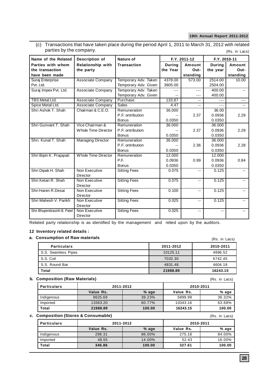(c) Transactions that have taken place during the period April 1, 2011 to March 31, 2012 with related parties by the company. (Rs. in Lacs)

| Name of the Related         | Description of           | Nature of            |               | F.Y. 2011-12             | F.Y. 2010-11  |          |
|-----------------------------|--------------------------|----------------------|---------------|--------------------------|---------------|----------|
| Parties with whom           | <b>Relationship with</b> | <b>Transaction</b>   | <b>During</b> | Amount                   | <b>During</b> | Amount   |
| the transaction             | the party                |                      | the Year      | Out-                     | the year      | Out-     |
| have been made              |                          |                      |               | standing                 |               | standing |
| Suraj Enterprise            | <b>Associate Company</b> | Temporary Adv. Taken | 4378.00       | 573.00                   | 2514.00       | 10.00    |
| Pvt. Ltd.                   |                          | Temporary Adv. Given | 3805.00       |                          | 2504.00       |          |
| Suraj Impex Pvt. Ltd.       | <b>Associate Company</b> | Temporary Adv. Taken | $---$         | ---                      | 400.00        | $- -$    |
|                             |                          | Temporary Adv. Given |               | ---                      | 400.00        |          |
| <b>TBS Metal Ltd.</b>       | <b>Associate Company</b> | Purchase             | 133.87        |                          |               |          |
| Spice Metal Ltd.            | Associate Company        | <b>Sales</b>         | 4.47          | $- -$                    | $---$         |          |
| Shri Ashok T. Shah          | Chairman & C.E.O.        | Remuneration         | 36.000        |                          | 36.00         |          |
|                             |                          | P.F. ontribution     |               | 2.37                     | 0.0936        | 2.29     |
|                             |                          | <b>Bonus</b>         | 0.0350        |                          | 0.0350        |          |
| Shri Gunvant T. Shah        | Vice Chairman &          | Remuneration         | 36.000        |                          | 36.000        |          |
|                             | Whole Time Director      | P.F. ontribution     |               | 2.37                     | 0.0936        | 2.29     |
|                             |                          | <b>Bonus</b>         | 0.0350        |                          | 0.0350        |          |
| Shri, Kunal T. Shah         | <b>Managing Director</b> | Remuneration         | 36.000        |                          | 36.000        |          |
|                             |                          | P.F. ontribution     |               | 2.36                     | 0.0936        | 2.28     |
|                             |                          | <b>Bonus</b>         | 0.0350        |                          | 0.0350        |          |
| Shri Bipin K. Prajapati     | Whole Time Director      | Remuneration         | 12.000        |                          | 12.000        |          |
|                             |                          | P.F.                 | 0.0936        | 0.99                     | 0.0936        | 0.84     |
|                             |                          | <b>Bonus</b>         | 0.0350        |                          | 0.0350        |          |
| Shri Dipak H. Shah          | Non Executive            | <b>Sitting Fees</b>  | 0.075         | $- -$                    | 0.125         |          |
|                             | Director                 |                      |               |                          |               |          |
| Shri Ketan R. Shah          | Non Executive            | <b>Sitting Fees</b>  | 0.075         | $\overline{\phantom{a}}$ | 0.125         |          |
|                             | Director                 |                      |               |                          |               |          |
| Shri Haren R.Desai          | Non Executive            | <b>Sitting Fees</b>  | 0.100         | $-$                      | 0.125         |          |
|                             | Director                 |                      |               |                          |               |          |
| Shri Mahesh V. Parikh       | Non Executive            | <b>Sitting Fees</b>  | 0.025         | $\overline{\phantom{a}}$ | 0.125         |          |
|                             | Director                 |                      |               |                          |               |          |
| Shri Bhupendrasinh B. Patel | Non Executive            | <b>Sitting Fees</b>  | 0.025         | $\overline{\phantom{a}}$ | $ -$          |          |
|                             | Director                 |                      |               |                          |               |          |

Related party relationship is as identified by the management and relied upon by the auditors.

### **12 Inventory related details :**

### **a. Consumption of Raw materials**

| onsumption of Raw materials: |           | (Rs. in Lacs) |
|------------------------------|-----------|---------------|
| <b>Particulars</b>           | 2011-2012 | 2010-2011     |
| S.S. Seamless Pipes          | 10125.11  | 4896.52       |
| S.S. Coil                    | 7032.30   | 6742.45       |
| S.S. Round Bar               | 4831.48   | 4604.18       |
| Total                        | 21988.89  | 16243.15      |

### **b. Composition (Raw Materials)**

| Particulars | 2011-2012 |         | 2010-2011 |        |
|-------------|-----------|---------|-----------|--------|
|             | Value Rs. | $%$ age | Value Rs. | % age  |
| Indigenous  | 8625.69   | 39.23%  | 5899.99   | 36.32% |
| Imported    | 13363.20  | 60.77%  | 10343.16  | 63.68% |
| Total       | 21988.89  | 100.00  | 16243.15  | 100.00 |

### **c. Composition (Stores & Consumable)**

| <b>Particulars</b> | 2011-2012 |        | 2010-2011 |        |
|--------------------|-----------|--------|-----------|--------|
|                    | Value Rs. | % age  | Value Rs. | % age  |
| Indigenous         | 298.31    | 86.00% | 275.18    | 84.00% |
| Imported           | 48.55     | 14.00% | 52.43     | 16.00% |
| Total              | 346.86    | 100.00 | 327.61    | 100.00 |

(Rs. in Lacs)

(Rs. in Lacs)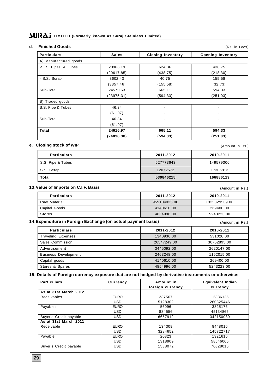### **d. Finished Goods**

| <b>Finished Goods</b> |              |                          | (Rs. in Lacs)            |
|-----------------------|--------------|--------------------------|--------------------------|
| <b>Particulars</b>    | <b>Sales</b> | <b>Closing Inventory</b> | <b>Opening Inventory</b> |
| A) Manufactured goods |              |                          |                          |
| -S. S. Pipes & Tubes  | 20968.19     | 624.36                   | 438.75                   |
|                       | (20617.85)   | (438.75)                 | (218.30)                 |
| - S.S. Scrap          | 3602.43      | 40.75                    | 155.58                   |
|                       | (3357.46)    | (155.58)                 | (32.73)                  |
| Sub-Total             | 24570.63     | 665.11                   | 594.33                   |
|                       | (23975.31)   | (594.33)                 | (251.03)                 |
| B) Traded goods       |              |                          |                          |
| S.S. Pipe & Tubes     | 46.34        |                          |                          |
|                       | (61.07)      |                          |                          |
| Sub-Total             | 46.34        |                          | $\overline{\phantom{a}}$ |
|                       | (61.07)      |                          |                          |
| Total                 | 24616.97     | 665.11                   | 594.33                   |
|                       | (24036.38)   | (594.33)                 | (251.03)                 |

### **e. Closing stock of WIP**

(Amount in Rs.)

| <b>Particulars</b> | 2011-2012 | 2010-2011 |
|--------------------|-----------|-----------|
| S.S. Pipe & Tubes  | 527773643 | 149579306 |
| S.S. Scrap         | 12072572  | 17306813  |
| Total              | 539846215 | 166886119 |

### **13.Value of Imports on C.I.F. Basis**

| <b>Particulars</b> | 2011-2012    | 2010-2011     |
|--------------------|--------------|---------------|
| Raw Material       | 959104035.00 | 1335329509.00 |
| Capital Goods      | 4140610.00   | 269400.00     |
| Stores             | 4854996.00   | 5243223.00    |

### **14.Expenditure in Foreign Exchange (on actual payment basis)**

(Amount in Rs.)

(Amount in Rs.)

| <b>Particulars</b>          | 2011-2012   | 2010-2011   |
|-----------------------------|-------------|-------------|
| <b>Traveling Expenses</b>   | 1340936.00  | 531020.00   |
| Sales Commission            | 26547249.00 | 30752895.00 |
| Advertisement               | 3445092.00  | 2620147.00  |
| <b>Business Development</b> | 2463248.00  | 1152015.00  |
| Capital goods               | 4140610.00  | 269400.00   |
| Stores & Spares             | 4854996.00  | 5243223.00  |

### **15. Details of Foreign currency exposure that are not hedged by derivative instruments or otherwise:-**

| <b>Particulars</b>     | Currency    | Amount in        | Equivalent Indian |
|------------------------|-------------|------------------|-------------------|
|                        |             | foreign currency | currency          |
| As at 31st March 2012  |             |                  |                   |
| Receivables            | <b>EURO</b> | 237567           | 15886125          |
|                        | <b>USD</b>  | 5128302          | 260825446         |
| Payables               | <b>EURO</b> | 56096            | 3825176           |
|                        | <b>USD</b>  | 884556           | 45134865          |
| Buyer's Credit payable | <b>USD</b>  | 6657912          | 342150089         |
| As at 31st March 2011  |             |                  |                   |
| Receivable             | <b>EURO</b> | 134309           | 8448016           |
|                        | <b>USD</b>  | 3284652          | 145722717         |
| Payable                | <b>EURO</b> | 20823            | 1321616           |
|                        | <b>USD</b>  | 1318909          | 58546065          |
| Buyer's Credit payable | <b>USD</b>  | 1588072          | 70828016          |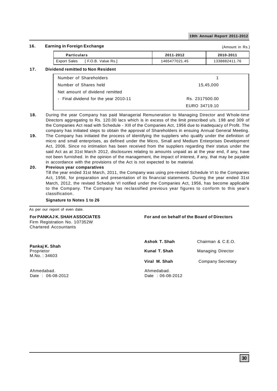### **16. Earning in Foreign Exchange**

| ıing in Foreign Exchange |                     |               | (Amount in Rs.) |
|--------------------------|---------------------|---------------|-----------------|
| <b>Particulars</b>       |                     | 2011-2012     | 2010-2011       |
| Export Sales             | [ F.O.B. Value Rs.] | 1465477021.45 | 1338882411.76   |

### **17. Dividend remitted to Non Resident**

| Number of Shareholders                |                |  |
|---------------------------------------|----------------|--|
| Number of Shares held                 | 15,45,000      |  |
| Net amount of dividend remitted       |                |  |
| - Final dividend for the year 2010-11 | Rs. 2317500.00 |  |
|                                       | EURO 34719.10  |  |

- **18.** During the year Company has paid Managerial Remuneration to Managing Director and Whole-time Directors aggregating to Rs. 120.00 lacs which is in excess of the limit prescribed u/s. 198 and 309 of the Companies Act read with Schedule - XIII of the Companies Act, 1956 due to inadequacy of Profit. The company has initiated steps to obtain the approval of Shareholders in ensuing Annual General Meeting.
- **19.** The Company has initiated the process of identifying the suppliers who qualify under the definition of micro and small enterprises, as defined under the Micro, Small and Medium Enterprises Development Act, 2006. Since no intimation has been received from the suppliers regarding their status under the said Act as at 31st March 2012, disclosures relating to amounts unpaid as at the year end, if any, have not been furnished. In the opinion of the management, the impact of interest, if any, that may be payable in accordance with the provisions of the Act is not expected to be material.

### **20. Previous year comparatives**

Till the year ended 31st March, 2011, the Company was using pre-revised Schedule VI to the Companies Act, 1956, for preparation and presentation of its financial statements. During the year ended 31st March, 2012, the revised Schedule VI notified under the Companies Act, 1956, has become applicable to the Company. The Company has reclassified previous year figures to conform to this year's classification.

### **Signature to Notes 1 to 26**

As per our report of even date.

Firm Registration No. 107352W Chartered Accountants

**For PANKAJ K. SHAH ASSOCIATES For and on behalf of the Board of Directors**

Ahmedabad. Date : 06-08-2012 Date : 06-08-2012

| Pankaj K. Shah<br>Proprietor<br>M.No. : 34603 | Ashok T. Shah | Chairman & C.E.O.        |
|-----------------------------------------------|---------------|--------------------------|
|                                               | Kunal T. Shah | <b>Managing Director</b> |
|                                               | Viral M. Shah | <b>Company Secretary</b> |
| Ahmedabad.                                    | Ahmedabad.    |                          |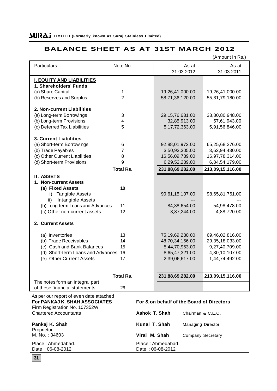# **BALANCE SHEET AS AT 31ST MARCH 2012**

|                                                            |                     |                      |                    |                          | (Amount in Rs.)                           |
|------------------------------------------------------------|---------------------|----------------------|--------------------|--------------------------|-------------------------------------------|
| <b>Particulars</b>                                         | Note No.            |                      |                    | As at                    | As at                                     |
|                                                            |                     |                      |                    | 31-03-2012               | 31-03-2011                                |
|                                                            |                     |                      |                    |                          |                                           |
| <b>I. EQUITY AND LIABILITIES</b><br>1. Shareholders' Funds |                     |                      |                    |                          |                                           |
|                                                            |                     |                      |                    |                          |                                           |
| (a) Share Capital                                          | 1<br>$\overline{2}$ |                      | 19,26,41,000.00    |                          | 19,26,41,000.00                           |
| (b) Reserves and Surplus                                   |                     |                      | 58,71,36,120.00    |                          | 55,81,79,180.00                           |
| 2. Non-current Liabilities                                 |                     |                      |                    |                          |                                           |
| (a) Long-term Borrowings                                   | 3                   |                      |                    |                          | 38,80,80,948.00                           |
| (b) Long-term Provisions                                   | 4                   |                      | 29, 15, 76, 631.00 | 32,85,913.00             |                                           |
|                                                            | 5                   |                      |                    |                          | 57,61,943.00                              |
| (c) Deferred Tax Liabilities                               |                     |                      |                    | 5, 17, 72, 363.00        | 5,91,56,846.00                            |
| <b>3. Current Liabilities</b>                              |                     |                      |                    |                          |                                           |
|                                                            |                     |                      |                    |                          |                                           |
| (a) Short-term Borrowings                                  | 6<br>$\overline{7}$ |                      | 92,88,01,972.00    |                          | 65,25,68,276.00                           |
| (b) Trade Payables                                         |                     |                      |                    | 3,50,93,305.00           | 3,62,94,430.00                            |
| (c) Other Current Liabilities                              | 8                   |                      | 16,56,09,739.00    |                          | 16,97,78,314.00                           |
| (d) Short-term Provisions                                  | 9                   |                      |                    | 6,29,52,239.00           | 6,84,54,179.00                            |
|                                                            | <b>Total Rs.</b>    |                      | 231,88,69,282.00   |                          | 213,09,15,116.00                          |
| <b>II. ASSETS</b>                                          |                     |                      |                    |                          |                                           |
| 1. Non-current Assets                                      |                     |                      |                    |                          |                                           |
| (a) Fixed Assets                                           | 10                  |                      |                    |                          |                                           |
| <b>Tangible Assets</b><br>i)                               |                     |                      | 90,61,15,107.00    |                          | 98,65,81,761.00                           |
| Intangible Assets<br>ii)                                   |                     |                      |                    |                          |                                           |
| (b) Long-term Loans and Advances                           | 11                  |                      |                    | 84, 38, 654. 00          | 54,98,478.00                              |
| (c) Other non-current assets                               | 12                  |                      |                    | 3,87,244.00              | 4,88,720.00                               |
|                                                            |                     |                      |                    |                          |                                           |
| 2. Current Assets                                          |                     |                      |                    |                          |                                           |
|                                                            |                     |                      |                    |                          |                                           |
| (a) Inventories                                            | 13                  |                      | 75,19,69,230.00    |                          | 69,46,02,816.00                           |
| (b) Trade Receivables                                      | 14                  |                      | 48,70,34,156.00    |                          | 29, 35, 18, 033.00                        |
| (c) Cash and Bank Balances                                 | 15                  |                      |                    | 5,44,70,953.00           | 9,27,40,709.00                            |
| (d) Short-term Loans and Advances                          | 16                  |                      |                    | 8,65,47,321.00           | 4,30,10,107.00                            |
| (e) Other Current Assets                                   | 17                  |                      |                    | 2,39,06,617.00           | 1,44,74,492.00                            |
|                                                            |                     |                      |                    |                          |                                           |
|                                                            |                     |                      |                    |                          |                                           |
|                                                            | <b>Total Rs.</b>    |                      | 231,88,69,282,00   |                          | 213,09,15,116.00                          |
| The notes form an integral part                            |                     |                      |                    |                          |                                           |
| of these financial statements                              | 26                  |                      |                    |                          |                                           |
| As per our report of even date attached                    |                     |                      |                    |                          |                                           |
| For PANKAJ K. SHAH ASSOCIATES                              |                     |                      |                    |                          | For & on behalf of the Board of Directors |
| Firm Registration No. 107352W                              |                     |                      |                    |                          |                                           |
| <b>Chartered Accountants</b>                               |                     | <b>Ashok T. Shah</b> |                    | Chairman & C.E.O.        |                                           |
|                                                            |                     |                      |                    |                          |                                           |
| Pankaj K. Shah                                             |                     | Kunal T. Shah        |                    | <b>Managing Director</b> |                                           |
| Proprietor                                                 |                     |                      |                    |                          |                                           |
| M. No.: 34603                                              |                     | Viral M. Shah        |                    | <b>Company Secretary</b> |                                           |

Date: 06-08-2012

Place : Ahmedabad.<br>
Date : 06-08-2012<br>
Date : 06-08-2012

# **31**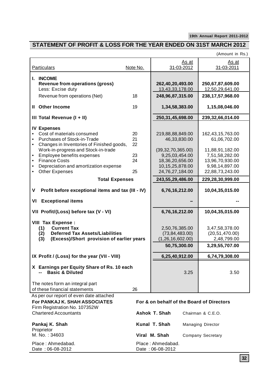# **STATEMENT OF PROFIT & LOSS FOR THE YEAR ENDED ON 31ST MARCH 2012**

(Amount in Rs.)

| <b>Particulars</b>                                                                                                                                                                                                                                                                          | Note No.                         |                                                                                                                        | As at<br>31-03-2012 | As at<br>31-03-2011                                                                                                           |
|---------------------------------------------------------------------------------------------------------------------------------------------------------------------------------------------------------------------------------------------------------------------------------------------|----------------------------------|------------------------------------------------------------------------------------------------------------------------|---------------------|-------------------------------------------------------------------------------------------------------------------------------|
| I. INCOME<br><b>Revenue from operations (gross)</b><br>Less: Excise duty<br>Revenue from operations (Net)                                                                                                                                                                                   | 18                               | 262,40,20,493.00<br>13,43,33,178.00<br>248,96,87,315.00                                                                |                     | 250,67,87,609.00<br>12,50,29,641.00<br>238, 17, 57, 968. 00                                                                   |
| Il Other Income                                                                                                                                                                                                                                                                             | 19                               | 1,34,58,383.00                                                                                                         |                     | 1,15,08,046.00                                                                                                                |
| III Total Revenue (I + II)                                                                                                                                                                                                                                                                  |                                  | 250, 31, 45, 698.00                                                                                                    |                     | 239,32,66,014.00                                                                                                              |
| <b>IV Expenses</b><br>Cost of materials consumed<br>Purchases of Stock-in-Trade<br>Changes in Inventories of Finished goods,<br>Work-in-progress and Stock-in-trade<br>Employee benefits expenses<br><b>Finance Costs</b><br>Depreciation and amortization expense<br><b>Other Expenses</b> | 20<br>21<br>22<br>23<br>24<br>25 | 219,88,88,849.00<br>(39, 32, 70, 365.00)<br>9,25,03,454.00<br>18,36,20,656.00<br>10, 15, 25, 878.00<br>24,76,27,184.00 | 46,33,830.00        | 162,43,15,763.00<br>61,06,702.00<br>11,88,91,182.00<br>7,51,58,282.00<br>13,96,70,930.00<br>9,98,14,897.00<br>22,88,73,243.00 |
| <b>Total Expenses</b>                                                                                                                                                                                                                                                                       |                                  | 243,55,29,486.00                                                                                                       |                     | 229,28,30,999.00                                                                                                              |
| Profit before exceptional items and tax (III - IV)<br>۷                                                                                                                                                                                                                                     |                                  | 6,76,16,212.00                                                                                                         |                     | 10,04,35,015.00                                                                                                               |
| <b>Exceptional items</b><br>VI                                                                                                                                                                                                                                                              |                                  |                                                                                                                        |                     |                                                                                                                               |
| VII Profit/(Loss) before tax (V - VI)                                                                                                                                                                                                                                                       |                                  | 6,76,16,212.00                                                                                                         |                     | 10,04,35,015.00                                                                                                               |
| <b>VIII Tax Expense:</b><br><b>Current Tax</b><br>(1)<br><b>Deferred Tax Assets/Liabilities</b><br>(2)<br>(Excess)/Short provision of earlier years<br>(3)                                                                                                                                  |                                  | 2,50,76,385.00<br>(73, 84, 483.00)<br>(1, 26, 16, 602.00)                                                              | 50,75,300.00        | 3,47,58,378.00<br>(20, 51, 470.00)<br>2,48,799.00<br>3,29,55,707.00                                                           |
| IX Profit / (Loss) for the year (VII - VIII)                                                                                                                                                                                                                                                |                                  | 6,25,40,912.00                                                                                                         |                     | 6,74,79,308.00                                                                                                                |
| X Earnings per Equity Share of Rs. 10 each<br><b>Basic &amp; Diluted</b>                                                                                                                                                                                                                    |                                  |                                                                                                                        | 3.25                | 3.50                                                                                                                          |
| The notes form an integral part<br>of these financial statements                                                                                                                                                                                                                            | 26                               |                                                                                                                        |                     |                                                                                                                               |
| As per our report of even date attached<br>For PANKAJ K. SHAH ASSOCIATES<br>Firm Registration No. 107352W<br><b>Chartered Accountants</b>                                                                                                                                                   |                                  | Ashok T. Shah                                                                                                          |                     | For & on behalf of the Board of Directors<br>Chairman & C.E.O.                                                                |
| Pankaj K. Shah<br>Proprietor<br>M. No.: 34603                                                                                                                                                                                                                                               |                                  | Kunal T. Shah<br>Viral M. Shah                                                                                         |                     | <b>Managing Director</b><br><b>Company Secretary</b>                                                                          |
| Place: Ahmedabad.<br>Date: 06-08-2012                                                                                                                                                                                                                                                       |                                  | Place: Ahmedabad.<br>Date: 06-08-2012                                                                                  |                     |                                                                                                                               |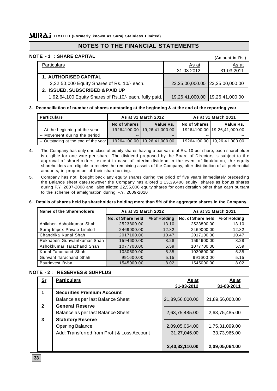# **NOTES TO THE FINANCIAL STATEMENTS**

### **NOTE - 1 : SHARE CAPITAL**

| L – II. JIIANL VAI IIAL                                |                                 | (Amount in Rs.) |
|--------------------------------------------------------|---------------------------------|-----------------|
| <b>Particulars</b>                                     | As at                           | As at           |
|                                                        | 31-03-2012                      | 31-03-2011      |
| <b>1. AUTHORISED CAPITAL</b>                           |                                 |                 |
| 2,32,50,000 Equity Shares of Rs. 10/- each.            | 23,25,00,000.00 23,25,00,000.00 |                 |
| 2. ISSUED, SUBSCRIBED & PAID UP                        |                                 |                 |
| 1,92,64,100 Equity Shares of Rs.10/- each, fully paid. | 19,26,41,000.00 19,26,41,000.00 |                 |
|                                                        |                                 |                 |

### **3. Reconciliation of number of shares outstading at the beginning & at the end of the reporting year**

| <b>Particulars</b>                   | As at 31 March 2012 |                               |              | As at 31 March 2011           |
|--------------------------------------|---------------------|-------------------------------|--------------|-------------------------------|
|                                      | No of Shares        | Value Rs.                     | No of Shares | Value Rs.                     |
| -- At the beginning of the year      |                     | 19264100.00   19,26,41,000.00 |              | 19264100.00 19,26,41,000.00   |
| -- Movement during the period        |                     | $- -$                         |              | $- -$                         |
| -- Outstading at the end of the year |                     | 19264100.00   19,26,41,000.00 |              | 19264100.00   19,26,41,000.00 |

- **4.** The Company has only one class of equity shares having a par value of Rs. 10 per share, each shareholder is eligible for one vote per share. The dividend proposed by the Board of Directors is subject to the approval of shareholders, except in case of interim dividend in the event of liquidation, the equity shareholders are eligible to receive the remaining assets of the Company, after distribution of all preferential amounts, in proportion of their shareholding.
- **5.** Company has not bought back any equity shares during the priod of five years immediately preceeding the Balance sheet date.However the Company has alloted 1,13,39,400 equity shares as bonus shares during F.Y .2007-2008 and also alloted 22,55,000 equity shares for consideration other than cash pursant to the scheme of amalgmation during F.Y. 2009-2010

### **6. Details of shares held by shareholders holding more than 5% of the aggregate shares in the Company.**

| Name of the Shareholders    | As at 31 March 2012 |              | As at 31 March 2011 |              |
|-----------------------------|---------------------|--------------|---------------------|--------------|
|                             | No. of Share held   | % of Holding | No. of Share held   | % of Holding |
| Anilaben Ashokkumar Shah    | 2523800.00          | 13.10        | 2523800.00          | 13.10        |
| Suraj Impex Private Limited | 2469000.00          | 12.82        | 2469000.00          | 12.82        |
| Chandrika Kunal Shah        | 2017100.00          | 10.47        | 2017100.00          | 10.47        |
| Rekhaben Gunwantkumar Shah  | 1594600.00          | 8.28         | 1594600.00          | 8.28         |
| Ashokkumar Tarachand Shah   | 1077700.00          | 5.59         | 1077700.00          | 5.59         |
| Kunal Tarachand Shah        | 1030600.00          | 5.35         | 1030600.00          | 5.35         |
| Gunvant Tarachand Shah      | 991600.00           | 5.15         | 991600.00           | 5.15         |
| <b>Bsurinvest Byba</b>      | 1545000.00          | 8.02         | 1545000.00          | 8.02         |

### **NOTE - 2 : RESERVES & SURPLUS**

| Sr           | <b>Particulars</b>                          | As at           | As at           |
|--------------|---------------------------------------------|-----------------|-----------------|
| 1            | <b>Securities Premium Account</b>           | 31-03-2012      | 31-03-2011      |
|              |                                             |                 |                 |
|              | Balance as per last Balance Sheet           | 21,89,56,000.00 | 21,89,56,000.00 |
| $\mathbf{2}$ | <b>General Reserve</b>                      |                 |                 |
|              | Balance as per last Balance Sheet           | 2,63,75,485.00  | 2,63,75,485.00  |
| 3            | <b>Statutory Reserve</b>                    |                 |                 |
|              | <b>Opening Balance</b>                      | 2,09,05,064.00  | 1,75,31,099.00  |
|              | Add: Transferred from Profit & Loss Account | 31,27,046.00    | 33,73,965.00    |
|              |                                             |                 |                 |
|              |                                             | 2,40,32,110.00  | 2,09,05,064.00  |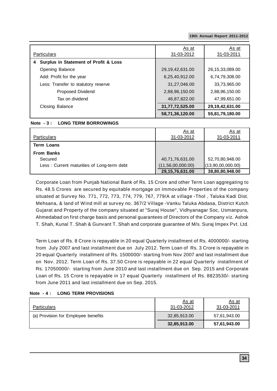| <b>Particulars</b>                    | As at<br>31-03-2012 | As at<br>31-03-2011 |
|---------------------------------------|---------------------|---------------------|
| Surplus in Statement of Profit & Loss |                     |                     |
| Opening Balance                       | 29, 19, 42, 631.00  | 26, 15, 33, 089. 00 |
| Add: Profit for the year              | 6,25,40,912.00      | 6,74,79,308.00      |
| Less: Transfer to statutory reserve   | 31,27,046.00        | 33,73,965.00        |
| Proposed Dividend                     | 2,88,96,150.00      | 2,88,96,150.00      |
| Tax on dividend                       | 46,87,822.00        | 47,99,651.00        |
| Closing Balance                       | 31,77,72,525.00     | 29,19,42,631.00     |
|                                       | 58,71,36,120.00     | 55,81,79,180.00     |

### **Note - 3 : LONG TERM BORROWINGS**

| Particulars                                | <u>As at</u><br>31-03-2012 | <u>As at</u><br>31-03-2011 |
|--------------------------------------------|----------------------------|----------------------------|
| Term Loans                                 |                            |                            |
| <b>From Banks</b>                          |                            |                            |
| Secured                                    | 40,71,76,631.00            | 52,70,80,948.00            |
| Less: Current maturities of Long-term debt | (11, 56, 00, 000.00)       | (13,90,00,000.00)          |
|                                            | 29, 15, 76, 631.00         | 38,80,80,948.00            |

Corporate Loan from Punjab National Bank of Rs. 15 Crore and other Term Loan aggregating to Rs. 48.5 Crores are secured by equitable mortgage on Immovable Properties of the company situated at Survey No. 771, 772, 773, 774, 779, 767, 779/A at village -Thol , Taluka Kadi Dist. Mehsana, & land of Wind mill at survey no. 367/2 Village -Vanku Taluka Abdasa, District Kutch Gujarat and Property of the company situated at "Suraj House", Vidhyanagar Soc, Usmanpura, Ahmedabad on first charge basis and personal guarantees of Directors of the Company viz. Ashok T. Shah, Kunal T. Shah & Gunvant T. Shah and corporate guarantee of M/s. Suraj Impex Pvt. Ltd.

Term Loan of Rs. 8 Crore is repayable in 20 equal Quarterly installment of Rs. 4000000/- starting from July 2007 and last installment due on July 2012. Term Loan of Rs. 3 Crore is repayable in 20 equal Quarterly installment of Rs. 1500000/- starting from Nov 2007 and last installment due on Nov. 2012. Term Loan of Rs. 37.50 Crore is repayable in 22 equal Quarterly installment of Rs. 17050000/- starting from June 2010 and last installment due on Sep. 2015 and Corporate Loan of Rs. 15 Crore is repayable in 17 equal Quarterly installment of Rs. 8823530/- starting from June 2011 and last installment due on Sep. 2015.

### **Note - 4 : LONG TERM PROVISIONS**

| <b>Particulars</b>                  | <u>As at</u><br>31-03-2012 | <u>As at</u><br>31-03-2011 |
|-------------------------------------|----------------------------|----------------------------|
| (a) Provision for Employee benefits | 32,85,913.00               | 57,61,943.00               |
|                                     | 32,85,913.00               | 57,61,943.00               |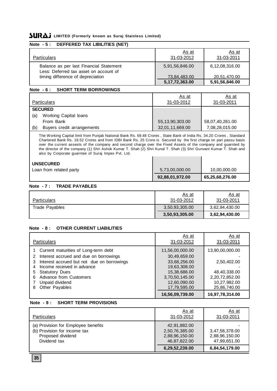### **Note - 5 : DEFFERED TAX LIBILITIES (NET)**

| <b>Particulars</b>                                                                | <u>As at</u><br>31-03-2012 | <u>As at</u><br>31-03-2011 |
|-----------------------------------------------------------------------------------|----------------------------|----------------------------|
| Balance as per last Financial Statement<br>Less: Deferred tax asset on account of | 5,91,56,846.00             | 6,12,08,316.00             |
| timing difference of depreciation                                                 | 73,84,483.00               | 20,51,470.00               |
|                                                                                   | 5, 17, 72, 363.00          | 5,91,56,846.00             |

### **Note - 6 : SHORT TERM BORROWINGS**

| <b>Particulars</b>                                    | <u>As at</u><br>31-03-2012 | As at<br>31-03-2011 |
|-------------------------------------------------------|----------------------------|---------------------|
| <b>SECURED</b><br><b>Working Capital loans</b><br>(a) |                            |                     |
| From Bank                                             | 55,13,90,303.00            | 58,07,40,261.00     |
| (b)<br>Buyers credit arrangements                     | 32,01,11,669.00            | 7,08,28,015.00      |

The Working Capital limit from Punjab National Bank Rs. 69.48 Crores , State Bank of India Rs. 34.20 Crores , Standard Chartered Bank Rs. 19.52 Crores and from IDBI Bank Rs. 25 Crore is Secured by the first charge on pari passu basis over the current assests of the company and second charge over the Fixed Assets of the company and guarnted by the director of the company (1) Shri Ashok Kumar T. Shah (2) Shri Kunal T. Shah (3) Shri Gunvant Kumar T. Shah and also by Corporate guarntee of Suraj Impex Pvt. Ltd. $\mathbf{r}$ 

| <b>UNSECURED</b>        |                 |                 |
|-------------------------|-----------------|-----------------|
| Loan from related party | 5,73,00,000.00  | 10,00,000.00    |
|                         | 92,88,01,972.00 | 65,25,68,276.00 |

### **Note - 7 : TRADE PAYABLES**

| <b>Particulars</b> | As at<br>31-03-2012 | <u>As at</u><br>31-03-2011 |
|--------------------|---------------------|----------------------------|
| Trade Payables     | 3,50,93,305.00      | 3,62,94,430.00             |
|                    | 3,50,93,305.00      | 3,62,94,430.00             |

### **Note - 8 : OTHER CURRENT LIABILITIES**

|                                                 | As at           | As at           |
|-------------------------------------------------|-----------------|-----------------|
| <b>Particulars</b>                              | 31-03-2012      | 31-03-2011      |
| Current maturities of Long-term debt            | 11,56,00,000.00 | 13,90,00,000.00 |
| Interest accrued and due on borrowings<br>2     | 30,49,659.00    |                 |
| Interest accrued but not due on borrowings<br>3 | 33,68,256.00    | 2,50,402.00     |
| Income received in advance<br>4                 | 19,63,308.00    |                 |
| <b>Statutory Dues</b><br>5                      | 15,38,686.00    | 48,40,338.00    |
| <b>Advance from Customers</b><br>6              | 3,70,50,145.00  | 2,20,72,852.00  |
| Unpaid dividend                                 | 12,60,090.00    | 10,27,982.00    |
| Other Payables<br>8                             | 17,79,595.00    | 25,86,740.00    |
|                                                 | 16,56,09,739.00 | 16,97,78,314.00 |

### **Note - 9 : SHORT TERM PROVISIONS**

| Particulars                                                                                              | <u>As at</u><br>31-03-2012                                                         | <u>As at</u><br>31-03-2011                                         |
|----------------------------------------------------------------------------------------------------------|------------------------------------------------------------------------------------|--------------------------------------------------------------------|
| (a) Provision for Employee benefits<br>(b) Provision for income tax<br>Proposed dividend<br>Dividend tax | 42,91,882.00<br>2,50,76,385.00<br>2,88,96,150.00<br>46,87,822.00<br>6,29,52,239.00 | 3,47,58,378.00<br>2,88,96,150.00<br>47,99,651.00<br>6,84,54,179.00 |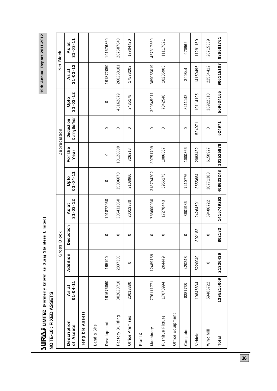19th Annual Report 2011-2012 **19th Annual Report 2011-2012**

# **SURLS INTED** (Formerly known as Suraj Stainless Limited)<br>NOTE-10 : FIXED ASSETS **(Formerly known as Suraj Stainless Limited)**

| NOTE-10 : FIXED ASSETS   |                         | Gross    | <b>Block</b> |                         |                        | Depreciation    |                              |                        |                                      | Net Block               |
|--------------------------|-------------------------|----------|--------------|-------------------------|------------------------|-----------------|------------------------------|------------------------|--------------------------------------|-------------------------|
| Description<br>of Assets | $01 - 04 - 11$<br>As at | Addition | Deduction    | $31 - 03 - 12$<br>As at | $01 - 04 - 11$<br>Upto | For the<br>Year | During the Year<br>Deduction | $31 - 03 - 12$<br>Upto | $31 - 03 - 12$<br>ā<br>$\frac{3}{4}$ | $31 - 03 - 11$<br>As at |
| Tengible Assets          |                         |          |              |                         |                        |                 |                              |                        |                                      |                         |
| Land & Site              |                         |          |              |                         |                        |                 |                              |                        |                                      |                         |
| Development              | 191676860               | 195190   | $\circ$      | 191872050               | $\circ$                | $\circ$         | $\circ$                      | $\circ$                | 191872050                            | 191676860               |
| Factory Building         | 302623710               | 2807350  | $\circ$      | 305431060               | 35036070               | 10126809        | $\circ$                      | 45162879               | 260268181                            | 267587640               |
| Office Premises          | 20013380                | 0        | 0            | 20013380                | 2108960                | 326218          | 0                            | 2435178                | 17578202                             | 17904420                |
| Plant &                  |                         |          |              |                         |                        |                 |                              |                        |                                      |                         |
| Machinery                | 776111771               | 12489159 | $\circ$      | 788600930               | 318794202              | 80751709        | $\circ$                      | 399545911              | 389055019                            | 457317569               |
| Furnitue Fixture         | 17073994                | 204449   | 0            | 17278443                | 5956173                | 1086367         | 0                            | 7042540                | 10235903                             | 11117821                |
| Office Equipment         |                         |          |              |                         |                        |                 |                              |                        |                                      |                         |
| Computer                 | 8381738                 | 420248   | 0            | 8801986                 | 7410776                | 1000366         | 0                            | 8411142                | 390844                               | 970962                  |
| Vehicle                  | 19846834                | 5220040  | 802183       | 24264691                | 8555684                | 2083482         | 524971                       | 10114195               | 14150496                             | 11291150                |
| Wind Mill                | 59486722                | 0        | 0            | 59486722                | 30771383               | 6150927         | 0                            | 36922310               | 22564412                             | 28715339                |
| Total                    | 1395215009              | 21336436 | 802183       | 1415749262              | 408633248              | 101525878       | 524971                       | 509634155              | 906115107                            | 986581761               |

**36**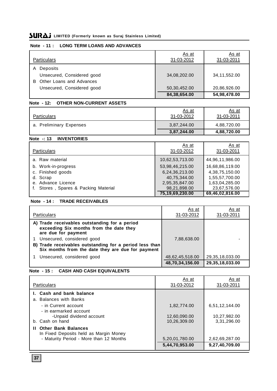### **Note - 11 : LONG TERM LOANS AND ADVANCES**

| <b>Particulars</b>             | <u>As at</u><br>31-03-2012 | As at<br>31-03-2011 |
|--------------------------------|----------------------------|---------------------|
| Deposits<br>Α                  |                            |                     |
| Unsecured, Considered good     | 34,08,202.00               | 34,11,552.00        |
| Other Loans and Advances<br>B. |                            |                     |
| Unsecured, Considered good     | 50,30,452.00               | 20,86,926.00        |
|                                | 84,38,654.00               | 54,98,478.00        |

### **Note - 12: OTHER NON-CURRENT ASSETS**

| <b>Particulars</b>      | <u>As at</u><br>31-03-2012 | <u>As at</u><br>31-03-2011 |
|-------------------------|----------------------------|----------------------------|
| a. Preliminary Expenses | 3,87,244.00                | 4,88,720.00                |
|                         | 3,87,244.00                | 4,88,720.00                |

### **Note -: 13 INVENTORIES**

|                                      | As at           | As at           |
|--------------------------------------|-----------------|-----------------|
| <b>Particulars</b>                   | 31-03-2012      | 31-03-2011      |
| a. Raw material                      | 10,62,53,713.00 | 44,96,11,986.00 |
| b. Work-in-progress                  | 53,98,46,215.00 | 16,68,86,119.00 |
| c. Finished goods                    | 6,24,36,213.00  | 4,38,75,150.00  |
| d. Scrap                             | 40,75,344.00    | 1,55,57,700.00  |
| e. Advance Licence                   | 2,95,35,847.00  | 1,63,04,285.00  |
| f. Stores, Spares & Packing Material | 98,21,898.00    | 23,67,576.00    |
|                                      | 75,19,69,230.00 | 69,46,02,816.00 |

### **Note - 14 : TRADE RECEIVABLES**

| <b>Particulars</b>                                                                                              | As at<br>31-03-2012 | As at<br>31-03-2011 |
|-----------------------------------------------------------------------------------------------------------------|---------------------|---------------------|
| A) Trade receivables outstanding for a period<br>exceeding Six months from the date they<br>are due for payment |                     |                     |
| Unsecured, considered good                                                                                      | 7,88,638.00         |                     |
| B) Trade receivables outstanding for a period less than<br>Six months from the date they are due for payment    |                     |                     |
| Unsecured, considered good                                                                                      | 48,62,45,518.00     | 29, 35, 18, 033.00  |
|                                                                                                                 | 48,70,34,156.00     | 29,35,18,033.00     |

### **Note - 15 : CASH AND CASH EQUIVALENTS**

| <b>Particulars</b>                                                      | As at<br>31-03-2012 | As at<br>31-03-2011 |
|-------------------------------------------------------------------------|---------------------|---------------------|
| I. Cash and bank balance                                                |                     |                     |
| a. Balances with Banks<br>- in Current account                          |                     |                     |
| - in earmarked account                                                  | 1,82,774.00         | 6,51,12,144.00      |
| -Unpaid dividend account                                                | 12,60,090.00        | 10,27,982.00        |
| b. Cash on hand                                                         | 10,26,309.00        | 3,31,296.00         |
| <b>II</b> Other Bank Balances<br>In Fixed Deposits held as Margin Money |                     |                     |
| - Maturity Period - More than 12 Months                                 | 5,20,01,780.00      | 2,62,69,287.00      |
|                                                                         | 5,44,70,953.00      | 9,27,40,709.00      |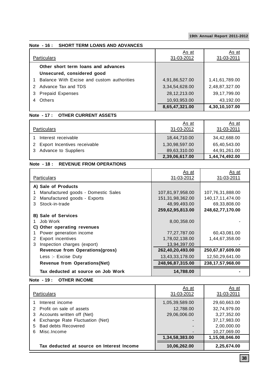### **Note - 16 : SHORT TERM LOANS AND ADVANCES**

| <b>Particulars</b>                         | As at<br>31-03-2012 | <u>As at</u><br>31-03-2011 |
|--------------------------------------------|---------------------|----------------------------|
| Other short term loans and advances        |                     |                            |
| Unsecured, considered good                 |                     |                            |
| Balance With Excise and custom authorities | 4,91,86,527.00      | 1,41,61,789.00             |
| 2 Advance Tax and TDS                      | 3,34,54,628.00      | 2,48,87,327.00             |
| <b>Prepaid Expenses</b><br>3               | 28,12,213.00        | 39,17,799.00               |
| Others<br>4                                | 10,93,953.00        | 43,192.00                  |
|                                            | 8,65,47,321.00      | 4,30,10,107.00             |

### **Note - 17 : OTHER CURRENT ASSETS**

| <b>Particulars</b>             | As at<br>31-03-2012 | As at<br>31-03-2011 |
|--------------------------------|---------------------|---------------------|
| Interest receivable            | 18,44,710.00        | 34,42,688.00        |
| 2 Export Incentives receivable | 1,30,98,597.00      | 65,40,543.00        |
| Advance to Suppliers<br>3      | 89,63,310.00        | 44.91.261.00        |
|                                | 2,39,06,617.00      | 1,44,74,492.00      |

### **Note - 18 : REVENUE FROM OPERATIONS**

| Particulars                         | As at<br>31-03-2012 | As at<br>31-03-2011 |
|-------------------------------------|---------------------|---------------------|
| A) Sale of Products                 |                     |                     |
| Manufactured goods - Domestic Sales | 107,81,97,958.00    | 107,76,31,888.00    |
| Manufactured goods - Exports<br>2   | 151,31,98,362.00    | 140, 17, 11, 474.00 |
| Stock-in-trade<br>3                 | 48,99,493.00        | 69,33,808.00        |
|                                     | 259,62,95,813.00    | 248,62,77,170.00    |
| <b>B)</b> Sale of Services          |                     |                     |
| Job Work                            | 8,00,358.00         |                     |
| C) Other operating revenues         |                     |                     |
| Power generation income             | 77,27,787.00        | 60,43,081.00        |
| Export incentives<br>2              | 1,78,02,138.00      | 1,44,67,358.00      |
| Inspection charges (export)<br>3    | 13,94,397.00        |                     |
| Revencue from Operations(gross)     | 262,40,20,493.00    | 250,67,87,609.00    |
| Less :- Excise Duty                 | 13,43,33,178.00     | 12,50,29,641.00     |
| <b>Revenue from Operations(Net)</b> | 248,96,87,315.00    | 238,17,57,968.00    |
| Tax deducted at source on Job Work  | 14,788.00           |                     |

### **Note - 19 : OTHER INCOME**

| <b>Particulars</b>                        | As at<br>31-03-2012 | As at<br>31-03-2011 |
|-------------------------------------------|---------------------|---------------------|
| Interest income                           | 1,05,39,589.00      | 29,60,663.00        |
| Profit on sale of assets                  | 12,788.00           | 32,74,979.00        |
| Accounts written off (Net)<br>З           | 29,06,006.00        | 3,27,352.00         |
| Exchange Rate Fluctuation (Net)           |                     | 37, 17, 983.00      |
| Bad debts Recovered<br>5                  |                     | 2,00,000.00         |
| Misc. Income<br>6                         |                     | 10,27,069.00        |
|                                           | 1,34,58,383.00      | 1,15,08,046.00      |
| Tax deducted at source on Interest Income | 10,06,262.00        | 2,25,674.00         |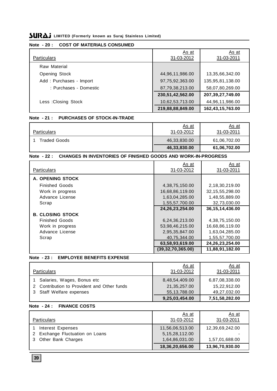### **Note - 20 : COST OF MATERIALS CONSUMED**

| <b>Particulars</b>      | As at<br>31-03-2012 | <u>As at</u><br>31-03-2011 |
|-------------------------|---------------------|----------------------------|
| Raw Material            |                     |                            |
| Opening Stock           | 44,96,11,986.00     | 13,35,66,342.00            |
| Add: Purchases - Import | 97,75,92,363.00     | 135,95,81,138.00           |
| : Purchases - Domestic  | 87,79,38,213.00     | 58,07,80,269.00            |
|                         | 230,51,42,562.00    | 207,39,27,749.00           |
| Less: Closing Stock     | 10,62,53,713.00     | 44,96,11,986.00            |
|                         | 219,88,88,849.00    | 162,43,15,763.00           |

### **Note - 21 : PURCHASES OF STOCK-IN-TRADE**

| <b>Particulars</b>  | <u>As at</u><br>31-03-2012 | <u>As at</u><br>31-03-2011 |
|---------------------|----------------------------|----------------------------|
| <b>Traded Goods</b> | 46,33,830.00               | 61,06,702.00               |
|                     | 46,33,830.00               | 61,06,702.00               |

### **Note - 22 : CHANGES IN INVENTORIES OF FINISHED GOODS AND WORK-IN-PROGRESS**

| <b>Particulars</b>      | As at<br>31-03-2012  | As at<br>31-03-2011 |
|-------------------------|----------------------|---------------------|
| A. OPENING STOCK        |                      |                     |
| <b>Finished Goods</b>   | 4,38,75,150.00       | 2,18,30,219.00      |
| Work in progress        | 16,68,86,119.00      | 32, 15, 55, 298.00  |
| Advance License         | 1,63,04,285.00       | 1,48,55,889.00      |
| Scrap                   | 1,55,57,700.00       | 32,73,030.00        |
|                         | 24, 26, 23, 254.00   | 36, 15, 14, 436.00  |
| <b>B. CLOSING STOCK</b> |                      |                     |
| <b>Finished Goods</b>   | 6,24,36,213.00       | 4,38,75,150.00      |
| Work in progress        | 53,98,46,215.00      | 16,68,86,119.00     |
| Advance License         | 2,95,35,847.00       | 1,63,04,285.00      |
| Scrap                   | 40,75,344.00         | 1,55,57,700.00      |
|                         | 63,58,93,619.00      | 24, 26, 23, 254.00  |
|                         | (39, 32, 70, 365.00) | 11,88,91,182.00     |

### **Note - 23 : EMPLOYEE BENEFITS EXPENSE**

| <b>Particulars</b>                                                                                  | <u>As at</u><br>31-03-2012                       | <u>As at</u><br>31-03-2011                     |
|-----------------------------------------------------------------------------------------------------|--------------------------------------------------|------------------------------------------------|
| Salaries, Wages, Bonus etc<br>2 Contribution to Provident and Other funds<br>Staff Welfare expenses | 8,48,54,409.00<br>21,35,257.00<br>55, 13, 788.00 | 6,87,08,338.00<br>15,22,912.00<br>49,27,032.00 |
|                                                                                                     | 9,25,03,454.00                                   | 7,51,58,282.00                                 |

### **Note - 24 : FINANCE COSTS**

| <b>Particulars</b>                                                              | <u>As at</u><br>31-03-2012                             | <u>As at</u><br>31-03-2011        |
|---------------------------------------------------------------------------------|--------------------------------------------------------|-----------------------------------|
| Interest Expenses<br>2 Exchange Fluctuation on Loans<br>Other Bank Charges<br>3 | 11,56,06,513.00<br>5, 15, 28, 112.00<br>1,64,86,031.00 | 12,39,69,242.00<br>1,57,01,688.00 |
|                                                                                 | 18,36,20,656.00                                        | 13,96,70,930.00                   |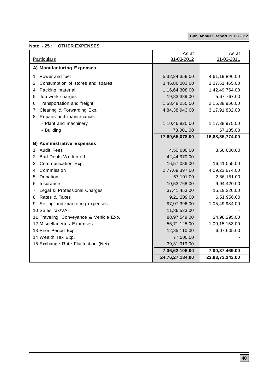### **Note - 25 : OTHER EXPENSES**

| <b>Particulars</b>                      | As at<br>31-03-2012 | As at<br>31-03-2011 |
|-----------------------------------------|---------------------|---------------------|
| A) Manufacturing Expenses               |                     |                     |
| Power and fuel<br>1                     | 5, 32, 24, 359.00   | 4,61,19,896.00      |
| Consumption of stores and spares<br>2   | 3,46,86,003.00      | 3,27,61,465.00      |
| Packing material<br>4                   | 1,16,64,308.00      | 1,42,49,754.00      |
| Job work charges<br>5                   | 19,83,389.00        | 5,67,767.00         |
| Transportation and freight<br>6         | 1,58,48,255.00      | 2,15,38,950.00      |
| Clearing & Forwarding Exp.<br>7         | 4,84,38,943.00      | 3,17,91,832.00      |
| Repairs and maintenance:<br>8           |                     |                     |
| - Plant and machinery                   | 1,10,46,820.00      | 1,17,38,975.00      |
| - Building                              | 73,001.00           | 67,135.00           |
|                                         | 17,69,65,078.00     | 15,88,35,774.00     |
| <b>B) Administrative Expenses</b>       |                     |                     |
| <b>Audit Fees</b><br>1                  | 4,50,000.00         | 3,50,000.00         |
| Bad Debts Written off<br>2              | 42,44,970.00        |                     |
| Communication Exp.<br>3                 | 16,57,086.00        | 16,41,055.00        |
| Commission<br>4                         | 2,77,69,397.00      | 4,09,23,674.00      |
| Donation<br>5                           | 67,101.00           | 2,86,151.00         |
| Insurance<br>6                          | 10,53,768.00        | 9,94,420.00         |
| Legal & Professional Charges<br>7       | 37,41,453.00        | 15,19,226.00        |
| Rates & Taxes<br>8                      | 9,21,209.00         | 6,51,956.00         |
| Selling and marketing expenses<br>9     | 97,07,396.00        | 1,05,49,934.00      |
| 10 Sales tax/VAT                        | 11,86,523.00        |                     |
| 11 Traveling, Conveyance & Vehicle Exp. | 88,97,549.00        | 24,98,295.00        |
| 12 Miscellaneous Expenses               | 56,71,125.00        | 1,00,15,153.00      |
| 13 Prior Period Exp.                    | 12,85,110.00        | 6,07,605.00         |
| 14 Wealth Tax Exp.                      | 77,500.00           |                     |
| 15 Exchange Rate Fluctuation (Net)      | 39,31,919.00        |                     |
|                                         | 7,06,62,106.00      | 7,00,37,469.00      |
|                                         | 24,76,27,184.00     | 22,88,73,243.00     |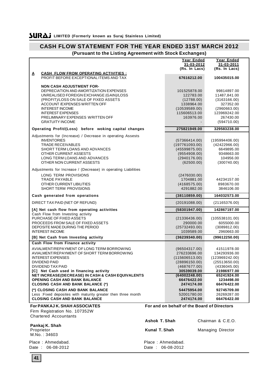| (Fursuant to the Listing Agreement with Stock Exchanges)                                          |                      |                                             |                            |
|---------------------------------------------------------------------------------------------------|----------------------|---------------------------------------------|----------------------------|
|                                                                                                   |                      | Year Ended                                  | Year Ended                 |
|                                                                                                   |                      | 31-03-2012                                  | 31-03-2011                 |
|                                                                                                   |                      | (Rs. In Lacs)                               | (Rs. In Lacs)              |
| <b>CASH FLOW FROM OPERATING ACTIVITIES :</b><br>Δ                                                 |                      |                                             |                            |
| PROFIT BEFORE EXCEPTIONAL ITEMS AND TAX                                                           |                      | 67616212.00                                 | 100435015.00               |
|                                                                                                   |                      |                                             |                            |
| <b>NON CASH ADJUSTMENT FOR-</b>                                                                   |                      |                                             |                            |
| DEPRECIATION AND AMORTIZATION EXPENSES                                                            |                      | 101525878.00                                | 99814897.00                |
| UNREALISED FOREIGN EXCHANGE (GAIN)/LOSS                                                           |                      | 122783.00                                   | 11487,841.00               |
| (PROFIT)/LOSS ON SALE OF FIXED ASSETS<br>ACCOUNT / EXPENSES WRITTEN OFF                           |                      | (12788.00)<br>1338964.00                    | (3163166.00)<br>327352.00  |
| <b>INTEREST INCOME</b>                                                                            |                      | (10539589.00)                               | (2960663.00)               |
| <b>INTEREST EXPENSES</b>                                                                          |                      | 115606513.00                                | 123969242.00               |
| PRELIMINARY EXPENSES WRITTEN OFF                                                                  |                      | 163976.00                                   | 267430.00                  |
| <b>GRATUITY INCOME</b>                                                                            |                      |                                             | (594710.00)                |
|                                                                                                   |                      |                                             |                            |
| Operating Profit/(Loss) before woking capital changes                                             |                      | 275821949.00                                | 329583238.00               |
| Adjustments for (Increase) / Decrease in operating Assests                                        |                      |                                             |                            |
| <b>INVENTORIES</b>                                                                                |                      | (57366414.00)                               | (195994406.00)             |
| <b>TRADE RECEIVABLES</b>                                                                          |                      | (197761093.00)                              | (42422966.00)              |
| SHORT TERM LOANS AND ADVANCES                                                                     |                      | (45599875.00)                               | 6649895.00                 |
| OTHER CURRENT ASSESTS                                                                             |                      | (9554908.00)                                | 9348663.00                 |
| LONG TERM LOANS AND ADVANCES                                                                      |                      | (2940176.00)                                | 104956.00                  |
| OTHER NON CURRENT ASSESTS                                                                         |                      | (62500.00)                                  | (300740.00)                |
| Adjustments for Increase / (Decrease) in operating Liabilities                                    |                      |                                             |                            |
|                                                                                                   |                      |                                             |                            |
| LONG TERM PROVISIONS<br><b>TRADE PAYABLE</b>                                                      |                      | (2476030.00)                                | 44234157.00                |
| OTHER CURRENT LIBILITIES                                                                          |                      | 1704881.00<br>(4168575.00)                  | 8983670.00                 |
| <b>SHORT TERM PROVISIONS</b>                                                                      |                      | 4291882.00                                  | 3846106.00                 |
|                                                                                                   |                      |                                             |                            |
| Cash generated from operations                                                                    |                      | (38110859.00)                               | 164032573.00               |
| DIRECT TAX PAID (NET OF REFUND)                                                                   |                      | (20191088.00)                               | (21165376.00)              |
|                                                                                                   |                      |                                             |                            |
| [A] Net cash flow from operating activities                                                       |                      | (58301947.00)                               | 142867197.00               |
| Cash Flow from Investing activity                                                                 |                      |                                             |                            |
| PURCHASE OF FIXED ASSETS                                                                          |                      | (21336436.00)                               | (105538101.00)             |
| PROCEEDS FROM SALE OF FIXED ASSETS<br>DEPOSITE MADE DURING THE PERIOD                             |                      | 290000.00                                   | 6055000.00                 |
| <b>INTEREST INCOME</b>                                                                            |                      | (25732493.00)<br>1039589.00                 | (3089812.00)<br>2960663.00 |
|                                                                                                   |                      |                                             |                            |
| [B] Net Cash from Investing activity                                                              |                      | (36239340.00)                               | (99612250.00)              |
| Cash Flow from Finance activity                                                                   |                      |                                             |                            |
| AVIALMENT/REPAYMENT OF LONG TERM BORROWING                                                        |                      | (96504317.00)                               | 41511978.00                |
| AVIALMENT/REPAYMENT OF SHORT TERM BORROWING                                                       |                      | 276233696.00                                | 134293936.00               |
| <b>INTEREST EXPENSES</b>                                                                          |                      | (115606513.00)                              | (123969242.00)             |
| DIVIDEND PAID                                                                                     |                      | (28896150.00)                               | (25513650.00)              |
| DIVIDEND TAX PAID                                                                                 |                      | (4687677.00)                                | (4336045.00)               |
| [C] Net Cash used in financing activity<br>NET INCREASE(DECREASE) IN CASH & CASH EQUIVALENTS      |                      | 30539039.00<br>(64002248.00)                | 21986977.00<br>65241924.00 |
| <b>OPENING CASH AND BANK BALANCE</b>                                                              |                      | 66476422.00                                 | 1234498.00                 |
| <b>CLOSING CASH AND BANK BALANCE (*)</b>                                                          |                      | 2474174.00                                  | 66476422.00                |
|                                                                                                   |                      | 54475954.00                                 |                            |
| (*) CLOSING CASH AND BANK BALANCE<br>Less: Fixed deposites with maturity greater then three month |                      | 52001780.00                                 | 92745709.00<br>26269287.00 |
| <b>CLOSING CASH AND BANK BALANCE</b>                                                              |                      | 2474174.00                                  | 66476422.00                |
|                                                                                                   |                      |                                             |                            |
| <b>For PANKAJ K. SHAH ASSOCIATES</b>                                                              |                      | For and on behalf of the Board of Directors |                            |
| Firm Registration No. 107352W                                                                     |                      |                                             |                            |
| <b>Chartered Accountants</b>                                                                      |                      |                                             |                            |
|                                                                                                   | <b>Ashok T. Shah</b> |                                             | Chairman & C.E.O.          |
| Pankaj K. Shah                                                                                    |                      |                                             |                            |
| Proprietor                                                                                        | Kunal T. Shah        |                                             | <b>Managing Director</b>   |
| M.No.: 34603                                                                                      |                      |                                             |                            |
| Place: Ahmedabad.                                                                                 | Place: Ahmedabad.    |                                             |                            |
| Date: 06-08-2012                                                                                  | Date: 06-08-2012     |                                             |                            |
|                                                                                                   |                      |                                             |                            |

# **CASH FLOW STATEMENT FOR THE YEAR ENDED 31ST MARCH 2012**

**(Pursuant to the Listing Agreement with Stock Exchanges)**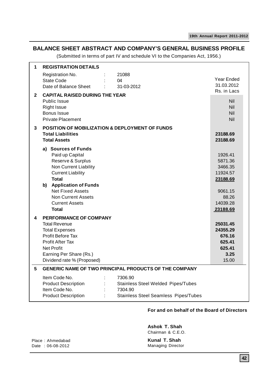### **BALANCE SHEET ABSTRACT AND COMPANY'S GENERAL BUSINESS PROFILE**

(Submitted in terms of part IV and schedule VI to the Companies Act, 1956.)

| 1            | <b>REGISTRATION DETAILS</b>                                                                                                                                                                                                                                  |                                                                                                                |                                                                                                   |
|--------------|--------------------------------------------------------------------------------------------------------------------------------------------------------------------------------------------------------------------------------------------------------------|----------------------------------------------------------------------------------------------------------------|---------------------------------------------------------------------------------------------------|
|              | Registration No.<br>State Code<br>Date of Balance Sheet                                                                                                                                                                                                      | 21088<br>04<br>31-03-2012                                                                                      | Year Ended<br>31.03.2012<br>Rs. in Lacs                                                           |
| $\mathbf{2}$ | <b>CAPITAL RAISED DURING THE YEAR</b><br><b>Public Issue</b><br><b>Right Issue</b><br><b>Bonus Issue</b><br><b>Private Placement</b>                                                                                                                         |                                                                                                                | Nil<br>Nil<br>Nil<br>Nil                                                                          |
| 3            | <b>POSITION OF MOBILIZATION &amp; DEPLOYMENT OF FUNDS</b><br><b>Total Liabilities</b><br><b>Total Assets</b>                                                                                                                                                 |                                                                                                                | 23188.69<br>23188.69                                                                              |
|              | a) Sources of Funds<br>Paid up Capital<br>Reserve & Surplus<br>Non Current Liability<br><b>Current Liability</b><br><b>Total</b><br>b) Application of Funds<br><b>Net Fixed Assets</b><br><b>Non Current Assets</b><br><b>Current Assets</b><br><b>Total</b> |                                                                                                                | 1926.41<br>5871.36<br>3466.35<br>11924.57<br>23188.69<br>9061.15<br>88.26<br>14039.28<br>23188.69 |
| 4            | PERFORMANCE OF COMPANY<br><b>Total Revenue</b><br><b>Total Expenses</b><br>Profit Before Tax<br><b>Profit After Tax</b><br><b>Net Profit</b><br>Earning Per Share (Rs.)<br>Dividend rate % (Proposed)                                                        |                                                                                                                | 25031.45<br>24355.29<br>676.16<br>625.41<br>625.41<br>3.25<br>15.00                               |
| 5            |                                                                                                                                                                                                                                                              | GENERIC NAME OF TWO PRINCIPAL PRODUCTS OF THE COMPANY                                                          |                                                                                                   |
|              | Item Code No.<br>ł,<br><b>Product Description</b><br>Item Code No.<br><b>Product Description</b>                                                                                                                                                             | 7306.90<br><b>Stainless Steel Welded Pipes/Tubes</b><br>7304.90<br><b>Stainless Steel Seamless Pipes/Tubes</b> |                                                                                                   |

### **For and on behalf of the Board of Directors**

**Ashok T. Shah** Chairman & C.E.O.

Place : Ahmedabad Date : 06-08-2012

**Kunal T. Shah** Managing Director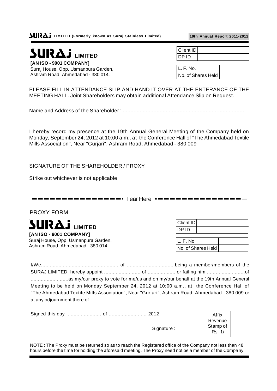**LIMITED** 

**[AN ISO - 9001 COMPANY]** Suraj House, Opp. Usmanpura Garden, Ashram Road, Ahmedabad - 380 014.

**19th Annual Report 2011-2012**

| Client ID |  |
|-----------|--|
| חו Pח     |  |

L. F. No. No. of Shares Held

PLEASE FILL IN ATTENDANCE SLIP AND HAND IT OVER AT THE ENTERANCE OF THE MEETING HALL. Joint Shareholders may obtain additional Attendance Slip on Request.

Name and Address of the Shareholder : ...............................................................................

I hereby record my presence at the 19th Annual General Meeting of the Company held on Monday, September 24, 2012 at 10:00 a.m., at the Conference Hall of "The Ahmedabad Textile Mills Association", Near "Gurjari", Ashram Road, Ahmedabad - 380 009

SIGNATURE OF THE SHAREHOLDER / PROXY

Strike out whichever is not applicable

 $------$  Tear Here  $---$ 

PROXY FORM



Suraj House, Opp. Usmanpura Garden, Ashram Road, Ahmedabad - 380 014.

| Client ID |  |
|-----------|--|
| DP ID     |  |
|           |  |

L. F. No. No. of Shares Held

I/We..................................................... of .................................being a member/members of the SURAJ LIMITED. hereby appoint ......................... of ................... or failing him ..........................of ..........................as my/our proxy to vote for me/us and on my/our behalf at the 19th Annual General Meeting to be held on Monday September 24, 2012 at 10:00 a.m., at the Conference Hall of "The Ahmedabad Textile Mills Association", Near "Gurjari", Ashram Road, Ahmedabad - 380 009 or at any odjournment there of.

Signed this day ........................ of .......................... 2012

| 2012       | Affix    |  |
|------------|----------|--|
|            | Revenue  |  |
| Signature: | Stamp of |  |
|            | Rs. 1/-  |  |

NOTE : The Proxy must be returned so as to reach the Registered office of the Company not less than 48 hours before the time for holding the aforesaid meeting. The Proxy need not be a member of the Company